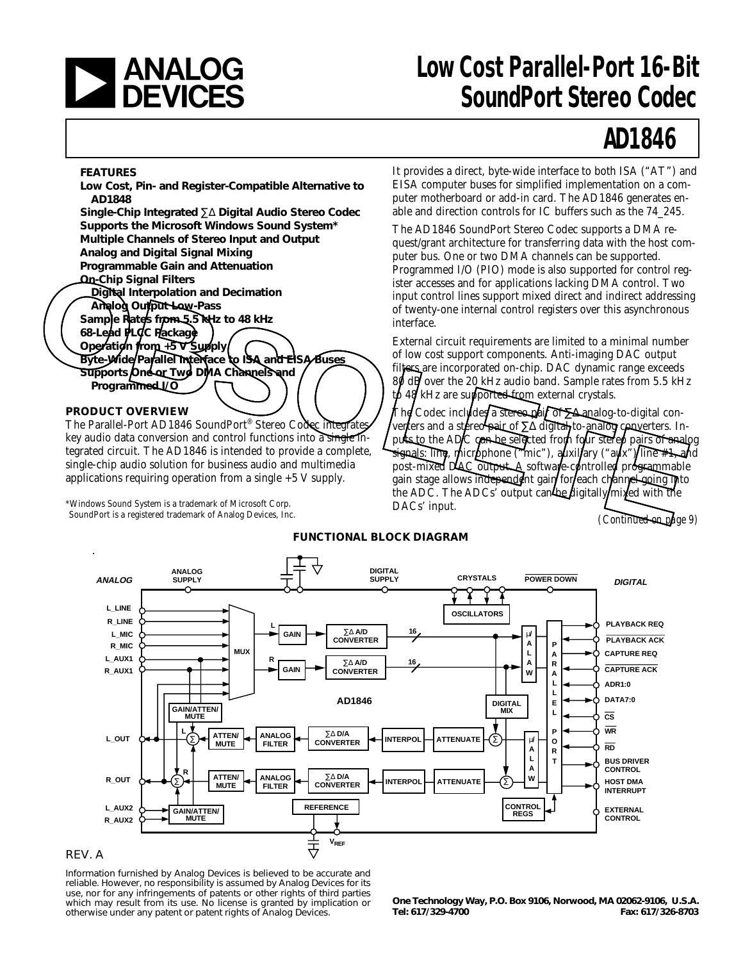

## **and Low Cost Parallel-Port 16-Bit**<br> **DEVICES** SoundPort Stereo Codec **SoundPort Stereo Codec**

# **AD1846**

#### **FEATURES**

**Low Cost, Pin- and Register-Compatible Alternative to AD1848 Single-Chip Integrated** ∑∆ **Digital Audio Stereo Codec Supports the Microsoft Windows Sound System\* Multiple Channels of Stereo Input and Output**

**Analog and Digital Signal Mixing Programmable Gain and Attenuation**

**On-Chip Signal Filters**

**Digital Interpolation and Decimation**

**Analog Output Low-Pass**

**Sample Rates from 5.5 kHz to 48 kHz**

**68-Lead PLCC Package Operation from +5 V Supply Byte-Wide Parallel Interface to ISA and EISA Buses Supports One or Two DMA Channels and**

**Programmed I/O**

#### **PRODUCT OVERVIEW**

The Parallel-Port AD1846 SoundPort® Stereo Codec integrates key audio data conversion and control functions into a single integrated circuit. The AD1846 is intended to provide a complete, single-chip audio solution for business audio and multimedia applications requiring operation from a single +5 V supply.

\*Windows Sound System is a trademark of Microsoft Corp. SoundPort is a registered trademark of Analog Devices, Inc.

It provides a direct, byte-wide interface to both ISA ("AT") and EISA computer buses for simplified implementation on a computer motherboard or add-in card. The AD1846 generates enable and direction controls for IC buffers such as the 74\_245.

The AD1846 SoundPort Stereo Codec supports a DMA request/grant architecture for transferring data with the host computer bus. One or two DMA channels can be supported. Programmed I/O (PIO) mode is also supported for control register accesses and for applications lacking DMA control. Two input control lines support mixed direct and indirect addressing of twenty-one internal control registers over this asynchronous interface.

External circuit requirements are limited to a minimal number of low cost support components. Anti-imaging DAC output filters are incorporated on-chip. DAC dynamic range exceeds 80 dB over the 20 kHz audio band. Sample rates from 5.5 kHz  $t\phi$  48 kHz are supported from external crystals.

The Codec inclu∕des a stereo pair of ∑∆ analog-to-digital converters and a stereo pair of ∑∆ digital<sub>1</sub> to-analog converters. Inputs to the ADC can be selected from four stered pairs of analog signals: line, microphone ("mic"), auxiliary ("aux")/line #1, and post-mixed DAC output. A software-controlled programmable gain stage allows independent gain for each channel going into the ADC. The ADCs' output can be digitally mixed with the DACs' input. **OBACTE Signal Filters**<br> **OBACTE (Alternation and Decimation** interactions and for applications lacking DMA control. Two<br> **OBACTE AND CONSULT TOWER SIGNAL CONSULTS**<br> **OBACTE AND CONSULTS**<br> **OBACTE AND CONSULTS**<br> **OBACTE AN** 

*(Continued on page 9)*





#### REV. A

Information furnished by Analog Devices is believed to be accurate and reliable. However, no responsibility is assumed by Analog Devices for its use, nor for any infringements of patents or other rights of third parties which may result from its use. No license is granted by implication or otherwise under any patent or patent rights of Analog Devices.

**One Technology Way, P.O. Box 9106, Norwood, MA 02062-9106, U.S.A. Tel: 617/329-4700 Fax: 617/326-8703**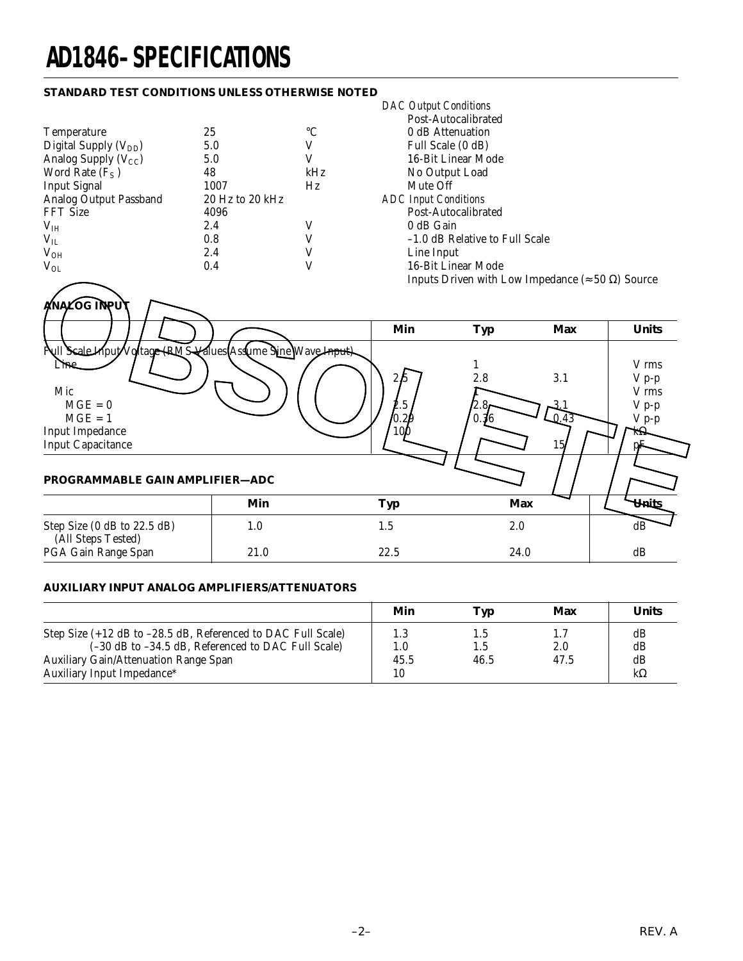# **AD1846–SPECIFICATIONS**

#### **STANDARD TEST CONDITIONS UNLESS OTHERWISE NOTED**

|                           |                 |     | Post-Autocalibrated         |
|---------------------------|-----------------|-----|-----------------------------|
| <b>Temperature</b>        | 25              | °C  | 0 dB Attenuation            |
| Digital Supply $(V_{DD})$ | 5.0             |     | Full Scale (0 dB)           |
| Analog Supply $(V_{CC})$  | 5.0             |     | 16-Bit Linear Mode          |
| Word Rate $(F_S)$         | 48              | kHz | No Output Load              |
| <b>Input Signal</b>       | 1007            | Hz  | Mute Off                    |
| Analog Output Passband    | 20 Hz to 20 kHz |     | <b>ADC</b> Input Conditions |
| <b>FFT Size</b>           | 4096            |     | Post-Autocalibrated         |
| V <sub>IH</sub>           | 2.4             |     | 0 dB Gain                   |
| $V_{IL}$                  | 0.8             |     | -1.0 dB Relative to         |
| $V_{OH}$                  | 2.4             |     | Line Input                  |
| $V_{OL}$                  | 0.4             |     | 16-Bit Linear Mode          |
|                           |                 |     |                             |

*DAC Output Conditions* Post-Autocalibrated 0 dB Attenuation Full Scale (0 dB) 16-Bit Linear Mode No Output Load Mute Off ADC Input Conditions -1.0 dB Relative to Full Scale Line Input 16-Bit Linear Mode Inputs Driven with Low Impedance (≈ 50 Ω) Source

|                                                                                                                                                                                  |      | Inputs Driven with Low Impedance ( $\approx$ 50 $\Omega$ ) Source |             |                                |                                                              |
|----------------------------------------------------------------------------------------------------------------------------------------------------------------------------------|------|-------------------------------------------------------------------|-------------|--------------------------------|--------------------------------------------------------------|
| ANALOG INPUT                                                                                                                                                                     |      | Min                                                               | <b>Typ</b>  | <b>Max</b>                     | <b>Units</b>                                                 |
| Pull Scale Input Voltage (RMS Kalues Asslume Sine Wave Input)<br>Mic<br>$MGE = 0$<br>$MGE = 1$<br>Input Impedance<br><b>Input Capacitance</b><br>PROGRAMMABLE GAIN AMPLIFIER-ADC |      | 2.5<br>$\dots$ 5<br>O.22<br>100                                   | 2.8<br>0.36 | 3.1<br>0.43<br>15 <sub>l</sub> | V rms<br>$V p-p$<br>V rms<br>$V p-p$<br>$V p-p$<br>$k\Omega$ |
|                                                                                                                                                                                  | Min  | <b>Typ</b>                                                        | <b>Max</b>  |                                | Units                                                        |
| Step Size (0 dB to 22.5 dB)<br>(All Steps Tested)                                                                                                                                | 1.0  | 1.5                                                               | 2.0         |                                | dB                                                           |
| PGA Gain Range Span                                                                                                                                                              | 21.0 | 22.5                                                              | 24.0        |                                | dB                                                           |

#### **AUXILIARY INPUT ANALOG AMPLIFIERS/ATTENUATORS**

|                                                                                                    | Min         | Typ         | Max         | <b>Units</b> |
|----------------------------------------------------------------------------------------------------|-------------|-------------|-------------|--------------|
| Step Size (+12 dB to -28.5 dB, Referenced to DAC Full Scale)                                       | 1.3         |             |             | dВ           |
| (-30 dB to -34.5 dB, Referenced to DAC Full Scale)<br><b>Auxiliary Gain/Attenuation Range Span</b> | 1.0<br>45.5 | 1.5<br>46.5 | 2.0<br>47.5 | dB<br>dB     |
| Auxiliary Input Impedance*                                                                         | 10          |             |             | $k\Omega$    |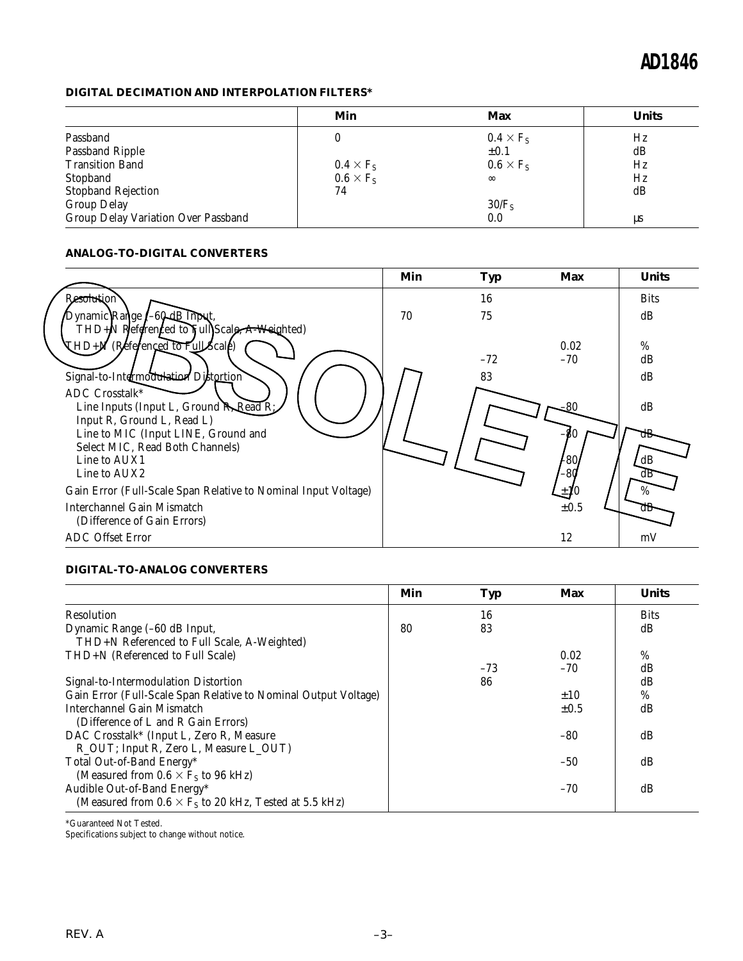#### **DIGITAL DECIMATION AND INTERPOLATION FILTERS\***

|                                     | Min              | Max               | <b>Units</b> |
|-------------------------------------|------------------|-------------------|--------------|
| Passband                            | U                | $0.4 \times F_S$  | Hz           |
| Passband Ripple                     |                  | $\pm 0.1$         | dB           |
| <b>Transition Band</b>              | $0.4 \times F_S$ | $0.6 \times F_S$  | Hz           |
| Stopband                            | $0.6 \times F_S$ | $\infty$          | Hz           |
| <b>Stopband Rejection</b>           | 74               |                   | dB           |
| <b>Group Delay</b>                  |                  | 30/F <sub>S</sub> |              |
| Group Delay Variation Over Passband |                  | 0.0               | us           |

#### **ANALOG-TO-DIGITAL CONVERTERS**

|                                                                | Min | <b>Typ</b> | Max       | <b>Units</b> |
|----------------------------------------------------------------|-----|------------|-----------|--------------|
| Resolution                                                     |     | 16         |           | <b>Bits</b>  |
| Dynamic Range (-60-dB Input,                                   | 70  | 75         |           | dB           |
| $THD + N$ Referenced to Full Scale, $A$ -Weighted)             |     |            |           |              |
| THD+N (Referenced to Full Scale)                               |     |            | 0.02      | $\%$         |
|                                                                |     | $-72$      | $-70$     | dB           |
| Signal-to-Intermodulation Distortion                           |     | 83         |           | dB           |
| ADC Crosstalk*                                                 |     |            |           |              |
| Line Inputs (Input L, Ground R, Read R;                        |     |            |           | dB           |
| Input R, Ground L, Read L)                                     |     |            |           |              |
| Line to MIC (Input LINE, Ground and                            |     |            |           |              |
| Select MIC, Read Both Channels)                                |     |            |           |              |
| Line to AUX1                                                   |     |            | 480,      | ŁdΒ          |
| Line to AUX2                                                   |     |            | $-80$     | .dB          |
| Gain Error (Full-Scale Span Relative to Nominal Input Voltage) |     |            | $\pm 10$  | $\%$         |
| Interchannel Gain Mismatch                                     |     |            | $\pm 0.5$ | aв           |
| (Difference of Gain Errors)                                    |     |            |           |              |
| <b>ADC</b> Offset Error                                        |     |            | 12        | mV           |

#### **DIGITAL-TO-ANALOG CONVERTERS**

|                                                                 | Min | Typ   | Max       | <b>Units</b> |
|-----------------------------------------------------------------|-----|-------|-----------|--------------|
| <b>Resolution</b>                                               |     | 16    |           | <b>Bits</b>  |
| Dynamic Range (-60 dB Input,                                    | 80  | 83    |           | dB           |
| THD+N Referenced to Full Scale, A-Weighted)                     |     |       |           |              |
| THD+N (Referenced to Full Scale)                                |     |       | 0.02      | %            |
|                                                                 |     | $-73$ | $-70$     | dB           |
| Signal-to-Intermodulation Distortion                            |     | 86    |           | dB           |
| Gain Error (Full-Scale Span Relative to Nominal Output Voltage) |     |       | $\pm 10$  | $\%$         |
| Interchannel Gain Mismatch                                      |     |       | $\pm 0.5$ | dB           |
| (Difference of L and R Gain Errors)                             |     |       |           |              |
| DAC Crosstalk* (Input L, Zero R, Measure                        |     |       | -80       | dB           |
| R_OUT; Input R, Zero L, Measure L_OUT)                          |     |       |           |              |
| Total Out-of-Band Energy*                                       |     |       | $-50$     | dB           |
| (Measured from $0.6 \times F_s$ to 96 kHz)                      |     |       |           |              |
| Audible Out-of-Band Energy*                                     |     |       | $-70$     | dB           |
| (Measured from $0.6 \times F_s$ to 20 kHz, Tested at 5.5 kHz)   |     |       |           |              |

\*Guaranteed Not Tested.

Specifications subject to change without notice.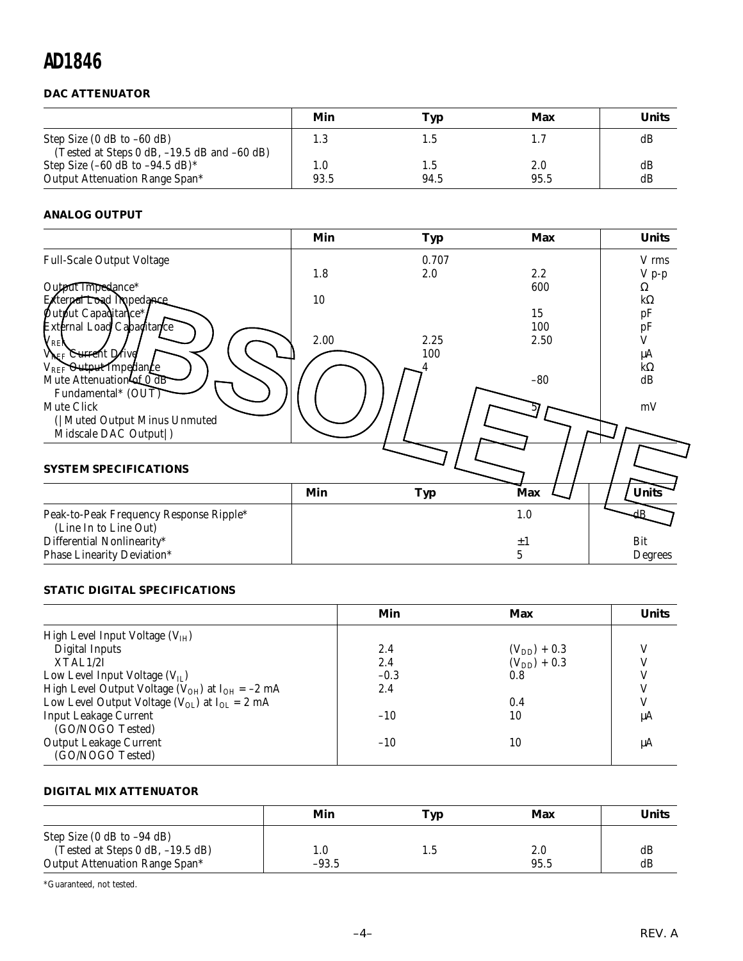#### **DAC ATTENUATOR**

|                                                                                    | Min     | Typ  | Max  | Units |
|------------------------------------------------------------------------------------|---------|------|------|-------|
| Step Size $(0$ dB to $-60$ dB)                                                     | 1.3     |      |      | dB    |
| (Tested at Steps 0 dB, -19.5 dB and -60 dB)<br>Step Size $(-60$ dB to $-94.5$ dB)* | $1.0\,$ |      | 2.0  | dB    |
| Output Attenuation Range Span*                                                     | 93.5    | 94.5 | 95.5 | dB    |

#### **ANALOG OUTPUT**

|                                         | Min  | <b>Typ</b> | <b>Max</b> | <b>Units</b>    |
|-----------------------------------------|------|------------|------------|-----------------|
| <b>Full-Scale Output Voltage</b>        |      | 0.707      |            | V rms           |
|                                         | 1.8  | 2.0        | 2.2        | $V p-p$         |
| Output Impedance*                       |      |            | 600        | Ω               |
| External Load Impedance                 | 10   |            |            | $k\Omega$       |
| Putput Capaditance*/                    |      |            | 15         |                 |
| External Load Capaoitance               |      |            | 100        | $\frac{pF}{pF}$ |
|                                         | 2.00 | 2.25       | 2.50       |                 |
| / REK<br>V <sub>REF</sub> Current Drive |      | 100        |            | μA              |
| $V_{REF}$ Output Impedance              |      |            |            | $k\Omega$       |
| Mute Attenuation of 0 dB                |      |            | $-80$      | dB              |
| Fundamental* (OUT)                      |      |            |            |                 |
| Mute Click                              |      |            |            |                 |
|                                         |      |            |            | mV              |
| ( Muted Output Minus Unmuted            |      |            |            |                 |
| Midscale DAC Output  )                  |      |            |            |                 |
|                                         |      |            |            |                 |
| <b>SYSTEM SPECIFICATIONS</b>            |      |            |            |                 |
|                                         |      |            |            |                 |
|                                         | Min  | <b>Typ</b> | Max        | <b>Units</b>    |
| Peak-to-Peak Frequency Response Ripple* |      |            | 1.0        |                 |
| (Line In to Line Out)                   |      |            |            |                 |
|                                         |      |            |            |                 |
| Differential Nonlinearity*              |      |            | $\pm 1$    | Bit             |
| <b>Phase Linearity Deviation*</b>       |      |            | 5          | Degrees         |

#### **STATIC DIGITAL SPECIFICATIONS**

|                                                            | Min    | Max              | <b>Units</b> |
|------------------------------------------------------------|--------|------------------|--------------|
| High Level Input Voltage $(VIH)$                           |        |                  |              |
| <b>Digital Inputs</b>                                      | 2.4    | $(V_{DD}) + 0.3$ |              |
| XTAL1/2I                                                   | 2.4    | $(V_{DD}) + 0.3$ |              |
| Low Level Input Voltage $(V_{IL})$                         | $-0.3$ | 0.8              |              |
| High Level Output Voltage ( $V_{OH}$ ) at $I_{OH} = -2$ mA | 2.4    |                  |              |
| Low Level Output Voltage ( $V_{OL}$ ) at $I_{OL} = 2$ mA   |        | 0.4              |              |
| <b>Input Leakage Current</b>                               | $-10$  | 10               | μA           |
| (GO/NOGO Tested)                                           |        |                  |              |
| <b>Output Leakage Current</b>                              | $-10$  | 10               | μA           |
| (GO/NOGO Tested)                                           |        |                  |              |

#### **DIGITAL MIX ATTENUATOR**

|                                                                    | Min     | Typ | Max  | Units |
|--------------------------------------------------------------------|---------|-----|------|-------|
| Step Size $(0$ dB to $-94$ dB)<br>(Tested at Steps 0 dB, -19.5 dB) |         |     | 2.0  | dB    |
| Output Attenuation Range Span*                                     | $-93.5$ |     | 95.5 | dB    |

\*Guaranteed, not tested.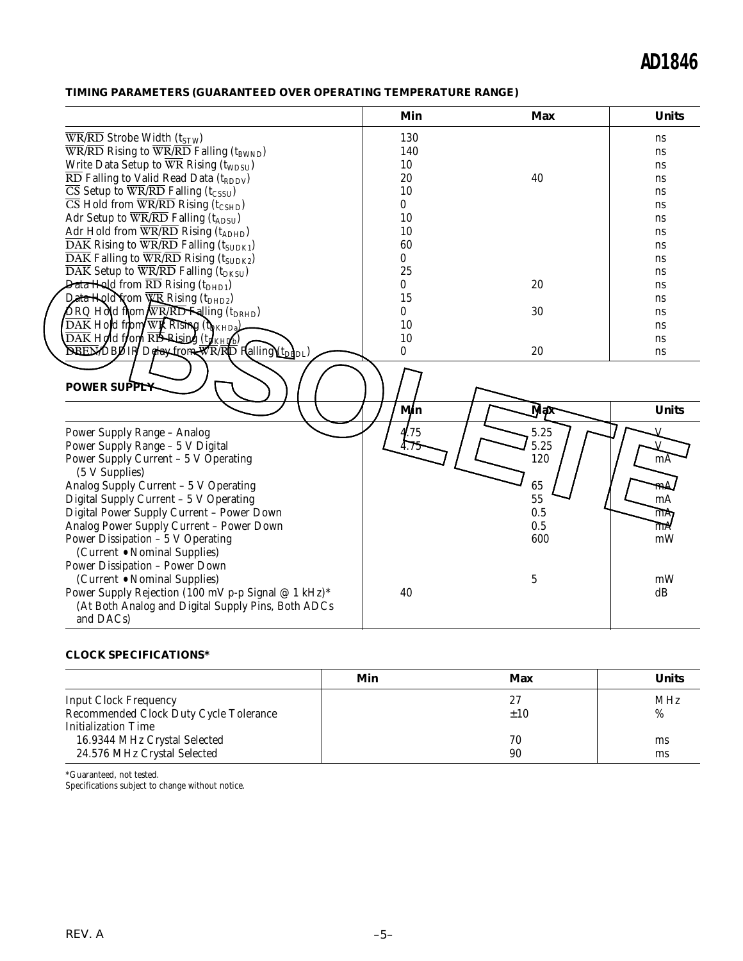#### **TIMING PARAMETERS (GUARANTEED OVER OPERATING TEMPERATURE RANGE)**

|                                                                                                                 | Min          | Max          | <b>Units</b>   |
|-----------------------------------------------------------------------------------------------------------------|--------------|--------------|----------------|
| $\overline{\text{WR}/\text{RD}}$ Strobe Width (t <sub>STW</sub> )                                               | 130          |              | ns             |
| $\overline{\text{WR}}$ /RD Rising to $\overline{\text{WR}}$ /RD Falling (t <sub>BWND</sub> )                    | 140          |              | ns             |
| Write Data Setup to $\overline{WR}$ Rising (t <sub>WDSU</sub> )                                                 | 10           |              | <sub>ns</sub>  |
| $\overline{\text{RD}}$ Falling to Valid Read Data (t <sub>RDDV</sub> )                                          | 20           | 40           | ns             |
| $\overline{\text{CS}}$ Setup to $\overline{\text{WR}}$ / $\overline{\text{RD}}$ Falling (t <sub>CSSU</sub> )    | 10           |              | ns             |
| $\overline{\text{CS}}$ Hold from $\overline{\text{WR}}$ / $\overline{\text{RD}}$ Rising (t <sub>CSHD</sub> )    | 0            |              | ns             |
| Adr Setup to $\overline{\text{WR}}/\overline{\text{RD}}$ Falling (t <sub>ADSU</sub> )                           | 10           |              | ns             |
| Adr Hold from $\overline{WR}/\overline{RD}$ Rising (t <sub>ADHD</sub> )                                         | 10           |              | <sub>ns</sub>  |
| $\overline{\text{DAK}}$ Rising to $\overline{\text{WR}/\text{RD}}$ Falling (t <sub>SUDK1</sub> )                | 60           |              | ns             |
| $\overline{\text{DAK}}$ Falling to $\overline{\text{WR}}$ / $\overline{\text{RD}}$ Rising (t <sub>SUDK2</sub> ) | 0            |              | ns             |
| $\overline{\text{DAK}}$ Setup to $\overline{\text{WR}}$ / $\overline{\text{RD}}$ Falling (t <sub>DKSU</sub> )   | 25           |              | ns             |
| Data Hold from $\overline{\mathrm{RD}}$ Rising (t <sub>DHD1</sub> )                                             | 0            | 20           | ns             |
| Data Hold Yrom WR Rising (tDHD2)                                                                                | 15           |              | ns             |
| $\log$ Hold from $\sqrt{N}$ RD Falling (t <sub>DRHD</sub> )                                                     | 0            | 30           | ns             |
| $\overline{\mathrm{DAK}}$ Hold from $\overline{\mathrm{WB}}$ Rising (the $\overline{\mathrm{H}}$                | 10           |              | <sub>ns</sub>  |
| $\overline{\text{DAK}}$ Hold from $\overline{\text{RD}}$ Rising $(\text{t}_{\text{KHIfb}})$                     | 10           |              | ns             |
| <b>BEEMDBOIR Detay-from WR/RD Falling (the flow)</b>                                                            | $\theta$     | 20           | <sub>ns</sub>  |
| <b>POWER SUPPLY</b>                                                                                             | Min          |              | <b>Units</b>   |
|                                                                                                                 |              | Mąx          |                |
| Power Supply Range - Analog<br>Power Supply Range - 5 V Digital                                                 | 4/75<br>4.75 | 5.25<br>5.25 |                |
| Power Supply Current - 5 V Operating<br>(5 V Supplies)                                                          |              | 120          | mA             |
| Analog Supply Current - 5 V Operating                                                                           |              | 65           | mA             |
| Digital Supply Current - 5 V Operating                                                                          |              | 55           | mA             |
| Digital Power Supply Current - Power Down                                                                       |              | 0.5          | $\overline{m}$ |
| Analog Power Supply Current - Power Down                                                                        |              | 0.5          | mA             |
| Power Dissipation - 5 V Operating                                                                               |              | 600          | mW             |
| (Current • Nominal Supplies)                                                                                    |              |              |                |
| <b>Power Dissipation - Power Down</b>                                                                           |              |              |                |
| (Current • Nominal Supplies)                                                                                    |              | 5            | mW             |
| Power Supply Rejection (100 mV p-p Signal @ 1 kHz)*                                                             | 40           |              | dB             |
| (At Both Analog and Digital Supply Pins, Both ADCs<br>and DACs)                                                 |              |              |                |

#### **CLOCK SPECIFICATIONS\***

|                                        | Min | Max | <b>Units</b> |
|----------------------------------------|-----|-----|--------------|
| <b>Input Clock Frequency</b>           |     | 27  | <b>MHz</b>   |
| Recommended Clock Duty Cycle Tolerance |     | ±10 | %            |
| Initialization Time                    |     |     |              |
| 16.9344 MHz Crystal Selected           |     | 70  | ms           |
| 24.576 MHz Crystal Selected            |     | 90  | ms           |

\*Guaranteed, not tested.

Specifications subject to change without notice.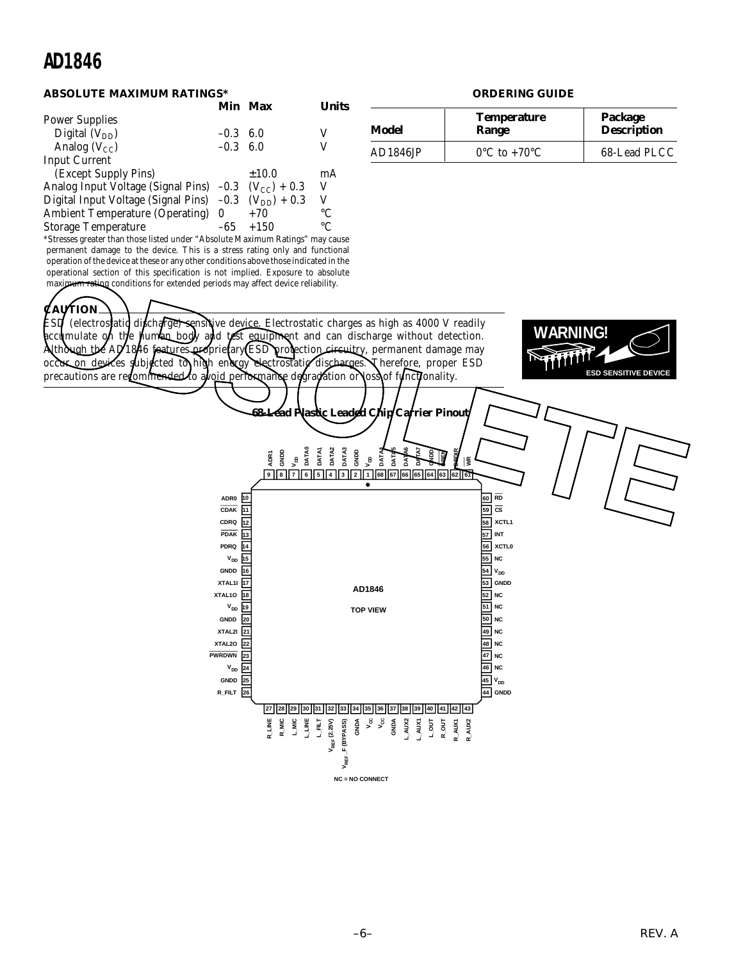#### **ABSOLUTE MAXIMUM RATINGS\***

|                                                                     |                  | Min Max | <b>I</b> Inits  |
|---------------------------------------------------------------------|------------------|---------|-----------------|
| <b>Power Supplies</b>                                               |                  |         |                 |
| Digital $(V_{DD})$                                                  | $-0.3$           | 6.0     | V               |
| Analog $(V_{CC})$                                                   | $-0.3 \quad 6.0$ |         | V               |
| <b>Input Current</b>                                                |                  |         |                 |
| (Except Supply Pins)                                                |                  | ±10.0   | mA              |
| Analog Input Voltage (Signal Pins) $-0.3$ (V <sub>CC</sub> ) + 0.3  |                  |         | V               |
| Digital Input Voltage (Signal Pins) $-0.3$ (V <sub>DD</sub> ) + 0.3 |                  |         | V               |
| Ambient Temperature (Operating) 0                                   |                  | $+70$   | $\rm ^{\circ}C$ |
| <b>Storage Temperature</b>                                          | -65              | $+150$  | $^{\circ}C$     |

\*Stresses greater than those listed under "Absolute Maximum Ratings" may cause permanent damage to the device. This is a stress rating only and functional operation of the device at these or any other conditions above those indicated in the operational section of this specification is not implied. Exposure to absolute maximum rating conditions for extended periods may affect device reliability.

**ORDERING GUIDE**

| Model    | <b>Temperature</b><br>Range       | Package<br><b>Description</b> |  |
|----------|-----------------------------------|-------------------------------|--|
| AD1846JP | $0^{\circ}$ C to +70 $^{\circ}$ C | 68-Lead PLCC                  |  |

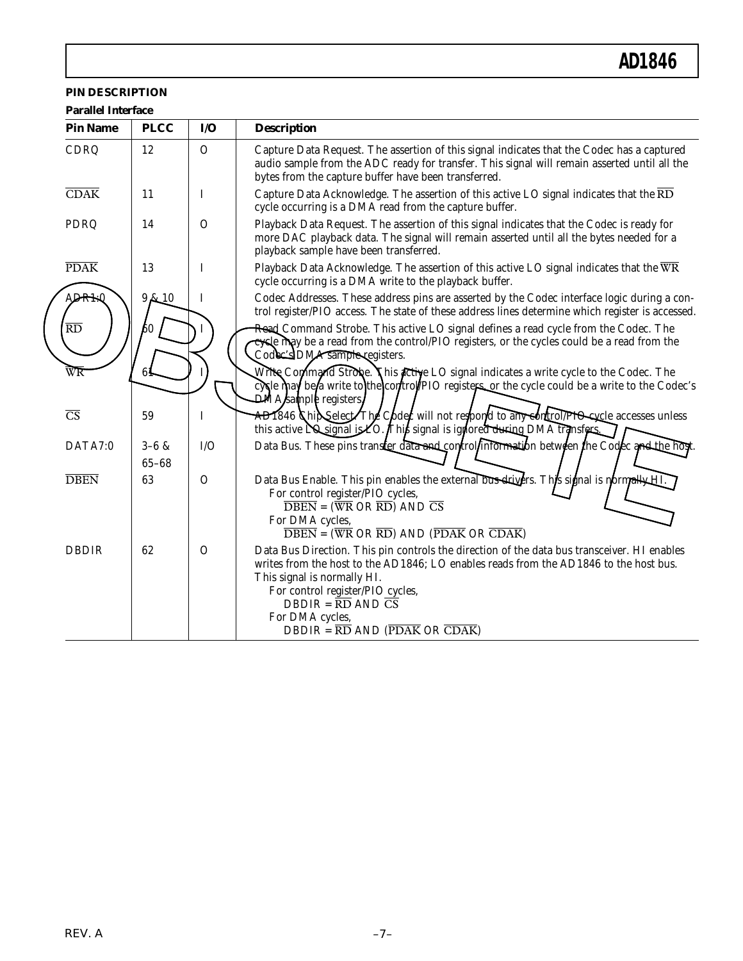#### **PIN DESCRIPTION**

| <b>Parallel Interface</b><br><b>Pin Name</b> | <b>PLCC</b>            | $U$           | <b>Description</b>                                                                                                                                                                                                                                                                                                                                                                                                            |
|----------------------------------------------|------------------------|---------------|-------------------------------------------------------------------------------------------------------------------------------------------------------------------------------------------------------------------------------------------------------------------------------------------------------------------------------------------------------------------------------------------------------------------------------|
| CDRQ                                         | 12                     | $\mathbf{O}$  | Capture Data Request. The assertion of this signal indicates that the Codec has a captured<br>audio sample from the ADC ready for transfer. This signal will remain asserted until all the<br>bytes from the capture buffer have been transferred.                                                                                                                                                                            |
| CDAK                                         | 11                     | I             | Capture Data Acknowledge. The assertion of this active LO signal indicates that the $\overline{\text{RD}}$<br>cycle occurring is a DMA read from the capture buffer.                                                                                                                                                                                                                                                          |
| PDRQ                                         | 14                     | $\Omega$      | Playback Data Request. The assertion of this signal indicates that the Codec is ready for<br>more DAC playback data. The signal will remain asserted until all the bytes needed for a<br>playback sample have been transferred.                                                                                                                                                                                               |
| <b>PDAK</b>                                  | 13                     | I             | Playback Data Acknowledge. The assertion of this active LO signal indicates that the WR<br>cycle occurring is a DMA write to the playback buffer.                                                                                                                                                                                                                                                                             |
| <b>ADRIN</b>                                 | 9k10                   | I             | Codec Addresses. These address pins are asserted by the Codec interface logic during a con-<br>trol register/PIO access. The state of these address lines determine which register is accessed.                                                                                                                                                                                                                               |
| $\overline{RD}$                              | 60                     |               | Read Command Strobe. This active LO signal defines a read cycle from the Codec. The<br>cycle may be a read from the control/PIO registers, or the cycles could be a read from the<br>Codec's DMA sample registers.                                                                                                                                                                                                            |
| WR                                           | 61                     |               | Write Command Strobe. This active LO signal indicates a write cycle to the Codec. The<br>cycle may be a write to the control PIO registers, or the cycle could be a write to the Codec's<br>$\dot{\mathbf{D}}$ MA $\boldsymbol{k}$ ample registers                                                                                                                                                                            |
| $\overline{\text{CS}}$                       | 59                     | $\bf{I}$      | AD1846 Chip Select The Code will not respond to any control PIO cycle accesses unless<br>this active $\overline{NQ}$ signal is ZO. This signal is ignored during DMA transfers.                                                                                                                                                                                                                                               |
| DATA7:0                                      | $3 - 6 &$<br>$65 - 68$ | I/O           | Data Bus. These pins transfer data and control information between the Codec and the host.                                                                                                                                                                                                                                                                                                                                    |
| <b>DBEN</b>                                  | 63                     | $\mathcal{O}$ | Data Bus Enable. This pin enables the external bus drivers. This signal is normally HL<br>For control register/PIO cycles,<br>$\overline{\text{DBEN}} = (\overline{\text{WR}} \text{ OR } \overline{\text{RD}}) \text{ AND } \overline{\text{CS}}$<br>For DMA cycles,<br>$\overline{\text{DBEN}} = (\overline{\text{WR}} \text{ OR } \overline{\text{RD}})$ AND $(\overline{\text{PDAK}} \text{ OR } \overline{\text{CDAK}})$ |
| <b>DBDIR</b>                                 | 62                     | $\Omega$      | Data Bus Direction. This pin controls the direction of the data bus transceiver. HI enables<br>writes from the host to the AD1846; LO enables reads from the AD1846 to the host bus.<br>This signal is normally HI.<br>For control register/PIO cycles,<br>$DBDIR = \overline{RD}$ AND $\overline{CS}$<br>For DMA cycles,<br>$DBDIR = \overline{RD}$ AND ( $\overline{PDAK}$ OR $\overline{CDAK}$ )                           |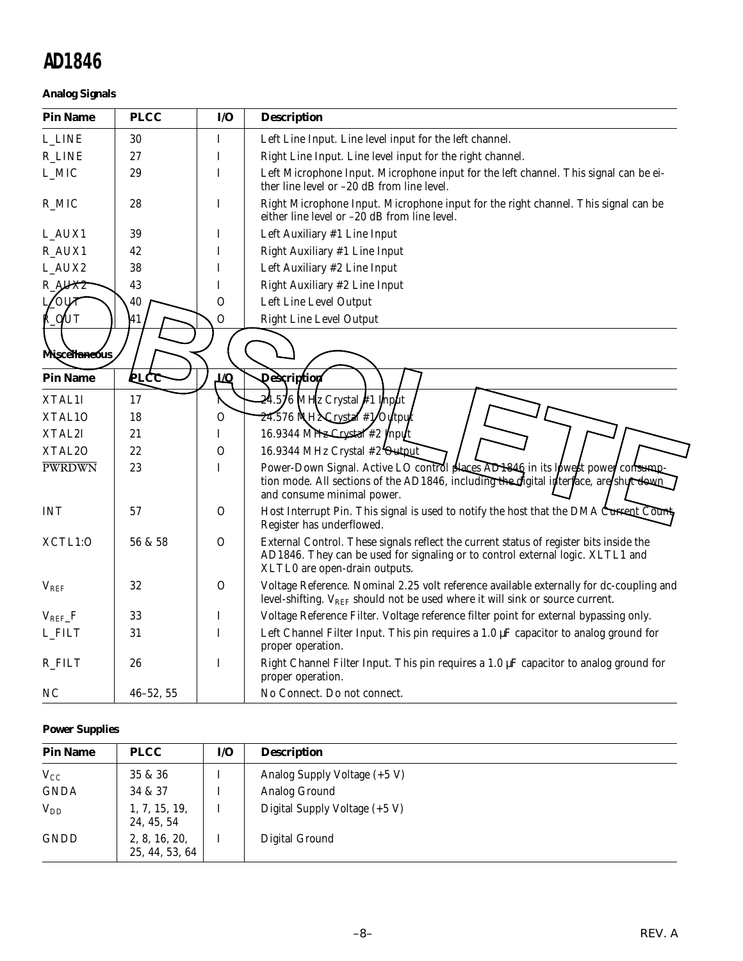#### **Analog Signals**

| <b>Pin Name</b> | <b>PLCC</b>   | I/O            | <b>Description</b>                                                                                                                                                                                        |
|-----------------|---------------|----------------|-----------------------------------------------------------------------------------------------------------------------------------------------------------------------------------------------------------|
| <b>L_LINE</b>   | 30            | I              | Left Line Input. Line level input for the left channel.                                                                                                                                                   |
| <b>R_LINE</b>   | 27            | I              | Right Line Input. Line level input for the right channel.                                                                                                                                                 |
| L_MIC           | 29            | I              | Left Microphone Input. Microphone input for the left channel. This signal can be ei-<br>ther line level or $-20$ dB from line level.                                                                      |
| R_MIC           | 28            | I              | Right Microphone Input. Microphone input for the right channel. This signal can be<br>either line level or -20 dB from line level.                                                                        |
| L_AUX1          | 39            | I              | Left Auxiliary #1 Line Input                                                                                                                                                                              |
| R_AUX1          | 42            | I              | Right Auxiliary #1 Line Input                                                                                                                                                                             |
| L_AUX2          | 38            | I              | Left Auxiliary #2 Line Input                                                                                                                                                                              |
| R_AUX2          | 43            | I              | Right Auxiliary #2 Line Input                                                                                                                                                                             |
| <b>OUT</b>      | 40            | $\overline{O}$ | Left Line Level Output                                                                                                                                                                                    |
| LQUT            | 41            | O              | Right Line Level Output                                                                                                                                                                                   |
|                 |               |                |                                                                                                                                                                                                           |
| Miscellaneous   |               |                |                                                                                                                                                                                                           |
| <b>Pin Name</b> | <b>PLCC</b>   | <b>t/O</b>     | <b>Qescription</b>                                                                                                                                                                                        |
| XTAL1I          | 17            |                | $24.5/6$ MHz Crystal #1 Input                                                                                                                                                                             |
| XTAL10          | 18            | $\overline{O}$ | 24.576 NH2 Crystal #1/Oytput                                                                                                                                                                              |
| XTAL2I          | 21            | I              | 16.9344 MHz Crystal #2 Input                                                                                                                                                                              |
| XTAL2O          | 22            | $\mathbf{O}$   | 16.9344 MHz Crystal #2 Output                                                                                                                                                                             |
| <b>PWRDWN</b>   | 23            | I              | Power-Down Signal. Active LO control places AD1846 in its lowest power consump<br>tion mode. All sections of the AD1846, including the digital interface, are shult down.<br>and consume minimal power.   |
| <b>INT</b>      | 57            | $\mathcal{O}$  | Host Interrupt Pin. This signal is used to notify the host that the DMA Current Count<br>Register has underflowed.                                                                                        |
| XCTL1:O         | 56 & 58       | $\mathcal{O}$  | External Control. These signals reflect the current status of register bits inside the<br>AD1846. They can be used for signaling or to control external logic. XLTL1 and<br>XLTL0 are open-drain outputs. |
| $V_{REF}$       | 32            | $\Omega$       | Voltage Reference. Nominal 2.25 volt reference available externally for dc-coupling and<br>level-shifting. $V_{REF}$ should not be used where it will sink or source current.                             |
| $V_{REF\_}F$    | 33            | I              | Voltage Reference Filter. Voltage reference filter point for external bypassing only.                                                                                                                     |
| L_FILT          | 31            | I              | Left Channel Filter Input. This pin requires a 1.0 µF capacitor to analog ground for<br>proper operation.                                                                                                 |
| R_FILT          | 26            | I              | Right Channel Filter Input. This pin requires a $1.0 \mu$ F capacitor to analog ground for<br>proper operation.                                                                                           |
| NC              | $46 - 52, 55$ |                | No Connect. Do not connect.                                                                                                                                                                               |

#### **Power Supplies**

| <b>Pin Name</b> | <b>PLCC</b>                     | I/O | <b>Description</b>            |
|-----------------|---------------------------------|-----|-------------------------------|
| $V_{CC}$        | 35 & 36                         |     | Analog Supply Voltage (+5 V)  |
| <b>GNDA</b>     | 34 & 37                         |     | Analog Ground                 |
| $V_{DD}$        | 1, 7, 15, 19,<br>24, 45, 54     |     | Digital Supply Voltage (+5 V) |
| <b>GNDD</b>     | 2, 8, 16, 20,<br>25, 44, 53, 64 |     | Digital Ground                |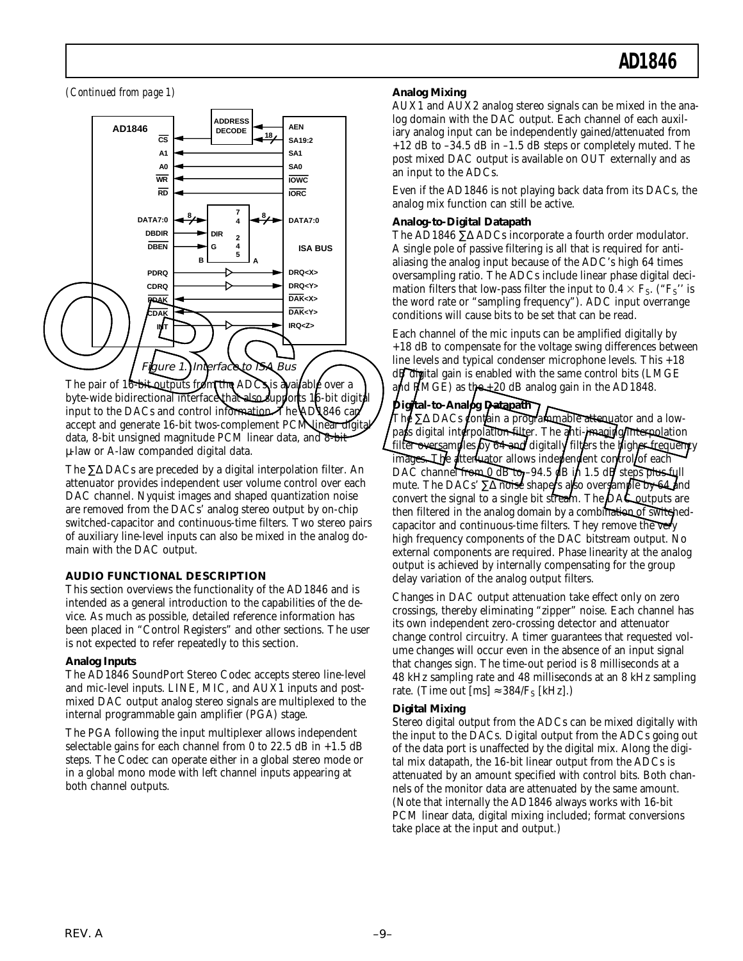*(Continued from page 1)*



The pair of 16-bit outputs from the ADC is available over a byte-wide bidirectional interface that also supports 16-bit digital input to the DACs and control information. The AD1846 can accept and generate 16-bit twos-complement PCM linear digital data, 8-bit unsigned magnitude PCM linear data, and 8-bit µ-law or A-law companded digital data.

The ∑∆ DACs are preceded by a digital interpolation filter. An attenuator provides independent user volume control over each DAC channel. Nyquist images and shaped quantization noise are removed from the DACs' analog stereo output by on-chip switched-capacitor and continuous-time filters. Two stereo pairs of auxiliary line-level inputs can also be mixed in the analog domain with the DAC output.

#### **AUDIO FUNCTIONAL DESCRIPTION**

This section overviews the functionality of the AD1846 and is intended as a general introduction to the capabilities of the device. As much as possible, detailed reference information has been placed in "Control Registers" and other sections. The user is not expected to refer repeatedly to this section.

#### **Analog Inputs**

The AD1846 SoundPort Stereo Codec accepts stereo line-level and mic-level inputs. LINE, MIC, and AUX1 inputs and postmixed DAC output analog stereo signals are multiplexed to the internal programmable gain amplifier (PGA) stage.

The PGA following the input multiplexer allows independent selectable gains for each channel from 0 to 22.5 dB in  $+1.5$  dB steps. The Codec can operate either in a global stereo mode or in a global mono mode with left channel inputs appearing at both channel outputs.

#### **Analog Mixing**

AUX1 and AUX2 analog stereo signals can be mixed in the analog domain with the DAC output. Each channel of each auxiliary analog input can be independently gained/attenuated from  $+12$  dB to  $-34.5$  dB in  $-1.5$  dB steps or completely muted. The post mixed DAC output is available on OUT externally and as an input to the ADCs.

Even if the AD1846 is not playing back data from its DACs, the analog mix function can still be active.

#### **Analog-to-Digital Datapath**

The AD1846 ∑∆ ADCs incorporate a fourth order modulator. A single pole of passive filtering is all that is required for antialiasing the analog input because of the ADC's high 64 times oversampling ratio. The ADCs include linear phase digital decimation filters that low-pass filter the input to  $0.4 \times F_S$ . ("F<sub>S</sub>" is the word rate or "sampling frequency"). ADC input overrange conditions will cause bits to be set that can be read.

Each channel of the mic inputs can be amplified digitally by +18 dB to compensate for the voltage swing differences between line levels and typical condenser microphone levels. This +18 dB digital gain is enabled with the same control bits (LMGE and  $PMCE$ ) as the  $+20$  dB analog gain in the AD1848.

#### **Digital-to-Analog Datapath**

The ∑∆ DACs contain a programmable attenuator and a lowpass digital interpolation filter. The anti-imaging interpolation filter oversamples by  $64$  and digitally filters the higher frequency images. The attenuator allows independent control of each DAC channel from  $0$  dB to -94.5 dB in 1.5 dB steps plus full mute. The DACs'  $\Sigma\Delta$  notse shapers also oversample by 64 and convert the signal to a single bit stream. The DAC outputs are then filtered in the analog domain by a combination of switchedcapacitor and continuous-time filters. They remove the very high frequency components of the DAC bitstream output. No external components are required. Phase linearity at the analog output is achieved by internally compensating for the group delay variation of the analog output filters.

Changes in DAC output attenuation take effect only on zero crossings, thereby eliminating "zipper" noise. Each channel has its own independent zero-crossing detector and attenuator change control circuitry. A timer guarantees that requested volume changes will occur even in the absence of an input signal that changes sign. The time-out period is 8 milliseconds at a 48 kHz sampling rate and 48 milliseconds at an 8 kHz sampling rate. (Time out [ms]  $\approx 384/F_S$  [kHz].)

#### **Digital Mixing**

Stereo digital output from the ADCs can be mixed digitally with the input to the DACs. Digital output from the ADCs going out of the data port is unaffected by the digital mix. Along the digital mix datapath, the 16-bit linear output from the ADCs is attenuated by an amount specified with control bits. Both channels of the monitor data are attenuated by the same amount. (Note that internally the AD1846 always works with 16-bit PCM linear data, digital mixing included; format conversions take place at the input and output.)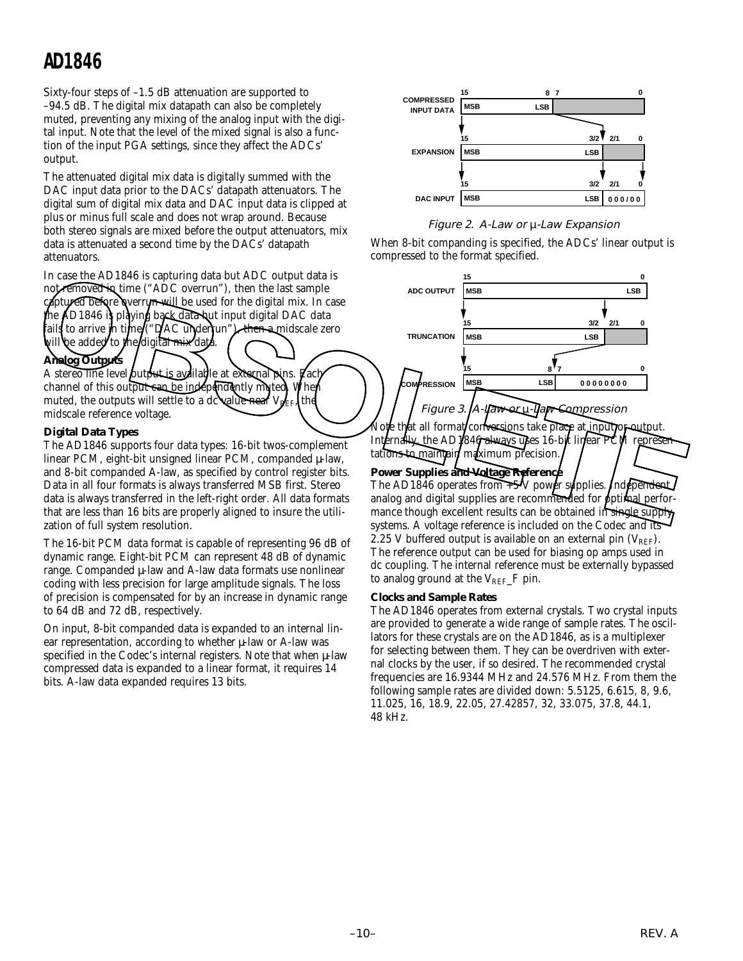Sixty-four steps of –1.5 dB attenuation are supported to –94.5 dB. The digital mix datapath can also be completely muted, preventing any mixing of the analog input with the digital input. Note that the level of the mixed signal is also a function of the input PGA settings, since they affect the ADCs' output.

The attenuated digital mix data is digitally summed with the DAC input data prior to the DACs' datapath attenuators. The digital sum of digital mix data and DAC input data is clipped at plus or minus full scale and does not wrap around. Because both stereo signals are mixed before the output attenuators, mix data is attenuated a second time by the DACs' datapath attenuators.

In case the AD1846 is capturing data but ADC output data is not removed in time ("ADC overrun"), then the last sample coptured before overrun will be used for the digital mix. In case the AD1846 is playing back data hut input digital DAC data fails to arrive in time ("DAC underrun"), then a midscale zero vill be added to the digital mix data.

#### **Analog Outputs**

A stereo line level butput is available at external pins. Lac channel of this output can be independently muted. When muted, the outputs will settle to a dc value near  $V_{\text{REF}}$ , the midscale reference voltage.

#### **Digital Data Types**

The AD1846 supports four data types: 16-bit twos-complement linear PCM, eight-bit unsigned linear PCM, companded  $\mu$ -law, and 8-bit companded A-law, as specified by control register bits. Data in all four formats is always transferred MSB first. Stereo data is always transferred in the left-right order. All data formats that are less than 16 bits are properly aligned to insure the utilization of full system resolution.

The 16-bit PCM data format is capable of representing 96 dB of dynamic range. Eight-bit PCM can represent 48 dB of dynamic range. Companded µ-law and A-law data formats use nonlinear coding with less precision for large amplitude signals. The loss of precision is compensated for by an increase in dynamic range to 64 dB and 72 dB, respectively.

On input, 8-bit companded data is expanded to an internal linear representation, according to whether µ-law or A-law was specified in the Codec's internal registers. Note that when  $\mu$ -law compressed data is expanded to a linear format, it requires 14 bits. A-law data expanded requires 13 bits.



#### Figure 2. A-Law or µ-Law Expansion

When 8-bit companding is specified, the ADCs' linear output is compressed to the format specified.



Internally, the AD1846 always uses 16-bit linear PCM representations to maintain maximum precision.

#### Power Supplies and Voltage Reference

The AD1846 operates from  $+5$  V power supplies. Independent analog and digital supplies are recommended for optimal performance though excellent results can be obtained in single supply systems. A voltage reference is included on the Codec and its 2.25 V buffered output is available on an external pin  $(V_{REF})$ . The reference output can be used for biasing op amps used in dc coupling. The internal reference must be externally bypassed to analog ground at the  $V_{REF-F}$  pin.

#### **Clocks and Sample Rates**

The AD1846 operates from external crystals. Two crystal inputs are provided to generate a wide range of sample rates. The oscillators for these crystals are on the AD1846, as is a multiplexer for selecting between them. They can be overdriven with external clocks by the user, if so desired. The recommended crystal frequencies are 16.9344 MHz and 24.576 MHz. From them the following sample rates are divided down: 5.5125, 6.615, 8, 9.6, 11.025, 16, 18.9, 22.05, 27.42857, 32, 33.075, 37.8, 44.1, 48 kHz.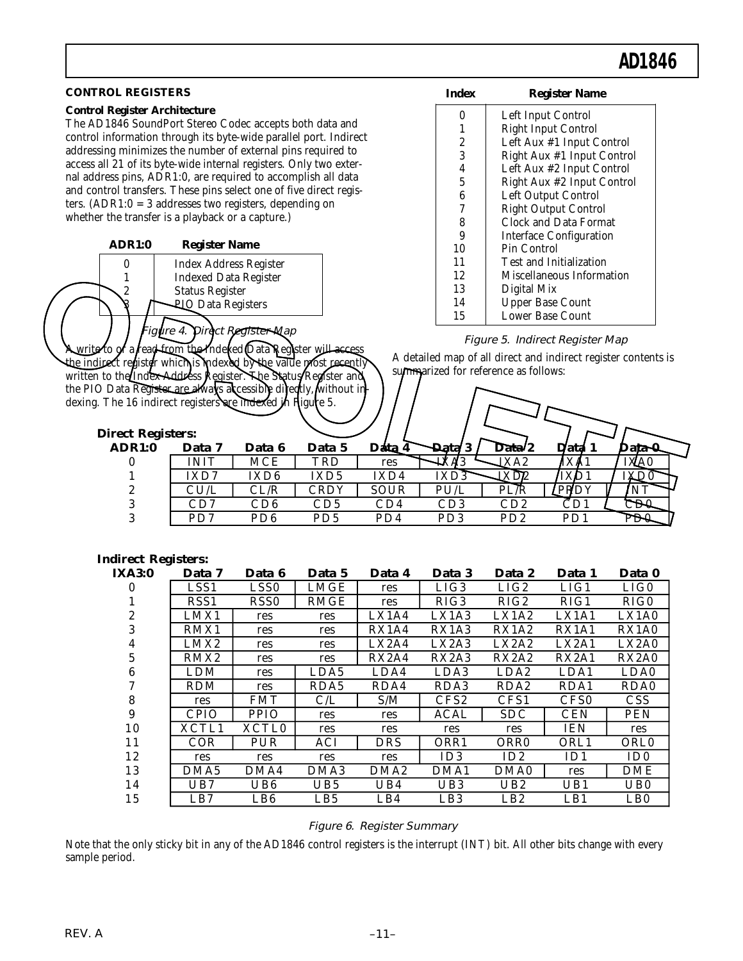| <b>CONTROL REGISTERS</b>                                                         | <b>Index</b>                                                      |                    | <b>Register Name</b>                                    |                                                  |                                 |                                                                |  |  |  |
|----------------------------------------------------------------------------------|-------------------------------------------------------------------|--------------------|---------------------------------------------------------|--------------------------------------------------|---------------------------------|----------------------------------------------------------------|--|--|--|
| <b>Control Register Architecture</b>                                             |                                                                   |                    | 0                                                       |                                                  | Left Input Control              |                                                                |  |  |  |
| The AD1846 SoundPort Stereo Codec accepts both data and                          |                                                                   |                    | $\mathbf{1}$                                            |                                                  | <b>Right Input Control</b>      |                                                                |  |  |  |
|                                                                                  | control information through its byte-wide parallel port. Indirect |                    |                                                         |                                                  |                                 |                                                                |  |  |  |
| addressing minimizes the number of external pins required to                     | $\boldsymbol{2}$<br>3                                             |                    | Left Aux #1 Input Control<br>Right Aux #1 Input Control |                                                  |                                 |                                                                |  |  |  |
| access all 21 of its byte-wide internal registers. Only two exter-               |                                                                   |                    | 4                                                       |                                                  | Left Aux #2 Input Control       |                                                                |  |  |  |
| nal address pins, ADR1:0, are required to accomplish all data                    |                                                                   |                    | $\bf 5$                                                 |                                                  | Right Aux #2 Input Control      |                                                                |  |  |  |
| and control transfers. These pins select one of five direct regis-               |                                                                   |                    | $\boldsymbol{6}$                                        |                                                  | Left Output Control             |                                                                |  |  |  |
| ters. $(ADR1:0 = 3$ addresses two registers, depending on                        |                                                                   |                    | 7                                                       |                                                  | Right Output Control            |                                                                |  |  |  |
| whether the transfer is a playback or a capture.)                                |                                                                   |                    | 8                                                       |                                                  | Clock and Data Format           |                                                                |  |  |  |
| <b>ADR1:0</b><br><b>Register Name</b>                                            |                                                                   |                    | 9                                                       |                                                  | <b>Interface Configuration</b>  |                                                                |  |  |  |
|                                                                                  |                                                                   |                    | 10                                                      | Pin Control                                      |                                 |                                                                |  |  |  |
| $\pmb{0}$<br><b>Index Address Register</b>                                       |                                                                   |                    | 11                                                      |                                                  | Test and Initialization         |                                                                |  |  |  |
| <b>Indexed Data Register</b><br>1                                                |                                                                   |                    | 12                                                      |                                                  | Miscellaneous Information       |                                                                |  |  |  |
| 2<br><b>Status Register</b>                                                      |                                                                   |                    | 13                                                      | Digital Mix                                      |                                 |                                                                |  |  |  |
| <b>PIQ Data Registers</b>                                                        |                                                                   |                    | 14                                                      |                                                  | <b>Upper Base Count</b>         |                                                                |  |  |  |
| igure 4. Direct Register Map                                                     |                                                                   |                    | 15                                                      |                                                  | Lower Base Count                |                                                                |  |  |  |
| <b>Awrite to of a fead-from the Indexed Qata Register wi<del>ll acce</del>ss</b> |                                                                   |                    |                                                         |                                                  | Figure 5. Indirect Register Map |                                                                |  |  |  |
| the indirect register which is indexed by the value most recently                |                                                                   |                    |                                                         |                                                  |                                 | A detailed map of all direct and indirect register contents is |  |  |  |
| written to the Index Address Register. The Status/Register and                   |                                                                   |                    | summarized for reference as follows:                    |                                                  |                                 |                                                                |  |  |  |
| the PIO Data Register are always accessible directly, without in-                |                                                                   |                    |                                                         |                                                  |                                 |                                                                |  |  |  |
| dexing. The 16 indirect registers are indexed in Higure 5.                       |                                                                   |                    |                                                         |                                                  |                                 |                                                                |  |  |  |
|                                                                                  |                                                                   |                    |                                                         |                                                  |                                 |                                                                |  |  |  |
|                                                                                  |                                                                   |                    |                                                         |                                                  |                                 |                                                                |  |  |  |
|                                                                                  |                                                                   |                    |                                                         |                                                  |                                 |                                                                |  |  |  |
| <b>Direct Registers:</b>                                                         |                                                                   |                    |                                                         |                                                  |                                 |                                                                |  |  |  |
| <b>ADR1:0</b><br>Data 7<br>Data 6                                                | Data 5                                                            | Data 4             | <b>Data/3</b>                                           | Data <sup>2</sup>                                | Data 1                          | Data 0                                                         |  |  |  |
| <b>INIT</b><br><b>MCE</b><br>$\bf{0}$                                            | TRD                                                               | res                | IXA3                                                    | $\overline{\text{I} \text{X} \text{A} \text{2}}$ | IXA1                            | IXA0                                                           |  |  |  |
| IXD7<br>IXD <sub>6</sub><br>1                                                    | IXD <sub>5</sub>                                                  | IXD4               | IXD3                                                    | IXD2                                             | IX <sub>D1</sub>                | IXD0                                                           |  |  |  |
| CU/L<br>CL/R<br>2                                                                | <b>CRDY</b>                                                       | <b>SOUR</b>        | PU/L                                                    | PL/R                                             | PRDY                            | <b>NT</b>                                                      |  |  |  |
| 3<br>CD7<br>CD6                                                                  | CD5                                                               | CD4                | CD3                                                     | CD2                                              | CD1                             | CD0                                                            |  |  |  |
| 3<br>PD7<br>PD <sub>6</sub>                                                      | PD5                                                               | PD4                | PD <sub>3</sub>                                         | PD <sub>2</sub>                                  | PD1                             | PD0                                                            |  |  |  |
|                                                                                  |                                                                   |                    |                                                         |                                                  |                                 |                                                                |  |  |  |
| <b>Indirect Registers:</b>                                                       |                                                                   |                    |                                                         |                                                  |                                 |                                                                |  |  |  |
| <b>IXA3:0</b><br>Data 7<br>Data 6                                                | Data 5                                                            | Data 4             | Data 3                                                  | Data 2                                           | Data 1                          | Data 0                                                         |  |  |  |
| LSS1<br>LSS <sub>0</sub><br>$\bf{0}$                                             | <b>LMGE</b>                                                       | res                | LIG3                                                    | LIG2                                             | LIG1                            | LIG0                                                           |  |  |  |
| RSS1<br>RSS <sub>0</sub>                                                         | <b>RMGE</b>                                                       | res                | RIG <sub>3</sub>                                        | RIG2                                             | RIG1                            | RIG <sub>0</sub>                                               |  |  |  |
| 2<br>LMX1<br>res                                                                 | res                                                               | LX1A4              | LX1A3                                                   | LX1A2                                            | LX1A1                           | LX1A0                                                          |  |  |  |
| RMX1<br>3<br>res                                                                 | res                                                               | $\overline{RX1A4}$ | RX1A3                                                   | $\overline{RX1A2}$                               | RX1A1                           | RX1A0                                                          |  |  |  |
| LMX <sub>2</sub><br>4<br>res                                                     | res                                                               | LX2A4              | LX2A3                                                   | LX2A2                                            | LX2A1                           | LX2A0                                                          |  |  |  |
| RMX2<br>5<br>res                                                                 | res                                                               | RX2A4              | RX2A3                                                   | RX2A2                                            | RX2A1                           | RX2A0                                                          |  |  |  |
| <b>LDM</b><br>6<br>res                                                           | LDA5                                                              | LDA4               | LDA3                                                    | LDA2                                             | LDA1                            | LDA0                                                           |  |  |  |
| <b>RDM</b><br>7<br>res                                                           | RDA5                                                              | RDA4               | RDA3                                                    | RDA <sub>2</sub>                                 | RDA1                            | RDA0                                                           |  |  |  |
| $\bf 8$<br><b>FMT</b><br>res                                                     | C/L                                                               | S/M                | CFS2                                                    | CFS1                                             | CFS <sub>0</sub>                | <b>CSS</b>                                                     |  |  |  |
| $\boldsymbol{9}$<br><b>CPIO</b><br>PPIO                                          | res                                                               | res                | <b>ACAL</b>                                             | <b>SDC</b>                                       | <b>CEN</b>                      | <b>PEN</b>                                                     |  |  |  |
| XCTL1<br>XCTL0<br>10                                                             | res                                                               | res                | res                                                     | res                                              | <b>IEN</b>                      | res                                                            |  |  |  |
| PUR<br>11<br>COR                                                                 | <b>ACI</b>                                                        | <b>DRS</b>         | ORR1                                                    | ORR <sub>0</sub>                                 | ORL1                            | ORL <sub>0</sub>                                               |  |  |  |
| 12<br>res<br>res                                                                 | res                                                               | res                | ID <sub>3</sub>                                         | $\overline{ID}2$                                 | ID1                             | ID <sub>0</sub>                                                |  |  |  |
| 13<br>DMA5<br>DMA4                                                               | DMA3                                                              | DMA <sub>2</sub>   | DMA1                                                    | DMA0                                             | res                             | <b>DME</b>                                                     |  |  |  |
| UB6<br>14<br>UB7                                                                 | UB5                                                               | UB4                | UB <sub>3</sub>                                         | UB2                                              | UB1                             | UB <sub>0</sub>                                                |  |  |  |

#### Figure 6. Register Summary

Note that the only sticky bit in any of the AD1846 control registers is the interrupt (INT) bit. All other bits change with every sample period.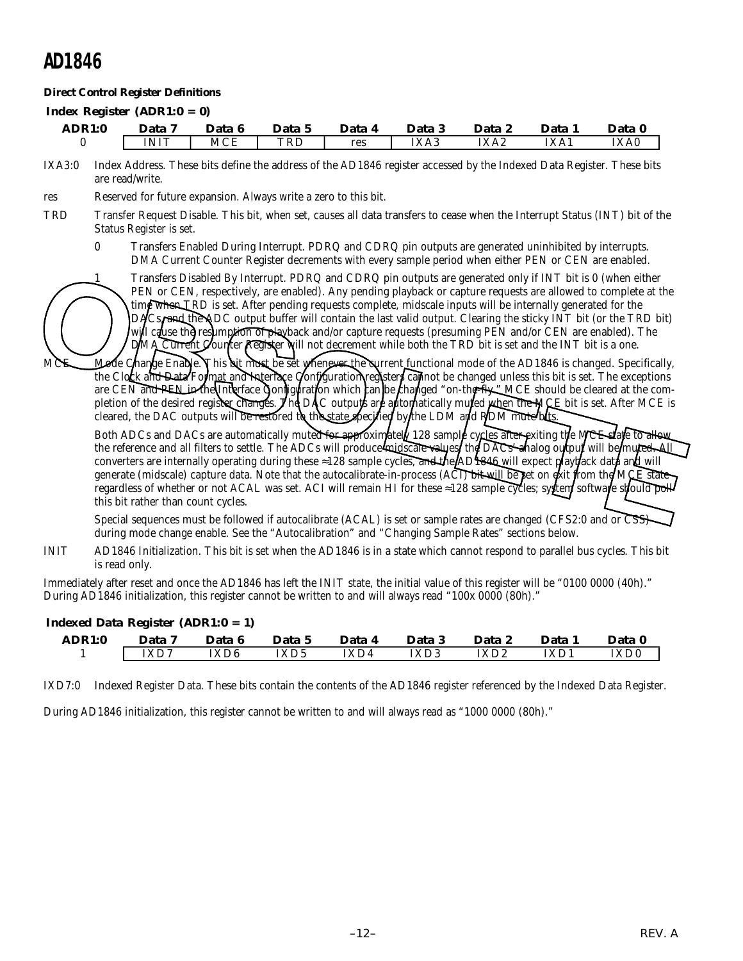#### **Direct Control Register Definitions**

#### *Index Register (ADR1:0 = 0)*

| <b>ADR1:0</b> | Data        | Data 6 | Data 5 | Data 4 | Data 3 | Data 2 | Data. | Data 0 |
|---------------|-------------|--------|--------|--------|--------|--------|-------|--------|
|               | <b>INIT</b> | MCE    | TRL    | res    | IXA3   | IXA2   | IXA1  | IXA0   |

IXA3:0 Index Address. These bits define the address of the AD1846 register accessed by the Indexed Data Register. These bits are read/write.

res Reserved for future expansion. Always write a zero to this bit.

- TRD Transfer Request Disable. This bit, when set, causes all data transfers to cease when the Interrupt Status (INT) bit of the Status Register is set.
	- 0 Transfers Enabled During Interrupt. PDRQ and CDRQ pin outputs are generated uninhibited by interrupts. DMA Current Counter Register decrements with every sample period when either PEN or CEN are enabled.

1 Transfers Disabled By Interrupt. PDRQ and CDRQ pin outputs are generated only if INT bit is 0 (when either PEN or CEN, respectively, are enabled). Any pending playback or capture requests are allowed to complete at the time when TRD is set. After pending requests complete, midscale inputs will be internally generated for the DACs, and the ADC output buffer will contain the last valid output. Clearing the sticky INT bit (or the TRD bit) will cause the resumption of playback and/or capture requests (presuming PEN and/or CEN are enabled). The Current Counter Register will not decrement while both the TRD bit is set and the INT bit is a one.

MCE Mode Change Enable. This bit must be set whenever the current functional mode of the AD1846 is changed. Specifically, the Clock and Data Format and Interface Configuration registers can not be changed unless this bit is set. The exceptions are CEN and PEN in the Interface Configuration which can be changed "on-the-fly." MCE should be cleared at the completion of the desired register changes. The DAC outputs are automatically muted when the MCE bit is set. After MCE is cleared, the DAC outputs will be restored to the state specified by the LDM and RDM mute bits.

Both ADCs and DACs are automatically muted for approximately 128 sample cycles after exiting the MCE state to allow the reference and all filters to settle. The ADCs will produce midscale values, the DACs analog output will be muted. All converters are internally operating during these  $\approx$ 128 sample cycles, and the AD1846 will expect playback data and will generate (midscale) capture data. Note that the autocalibrate-in-process (ACI) bit will be set on exit from the MCE state regardless of whether or not ACAL was set. ACI will remain HI for these ≈128 sample cycles; syttem software should poll this bit rather than count cycles. Transfers Disabled By Interrupt. PDRQ and CDRQ pin outputs are generated only if INT bit is 0 (when either PEN or CEN, respectively, are emabled). Any pending playback or capture requests sear lowed to complete the change

Special sequences must be followed if autocalibrate (ACAL) is set or sample rates are changed (CFS2:0 and or CSS) during mode change enable. See the "Autocalibration" and "Changing Sample Rates" sections below.

INIT AD1846 Initialization. This bit is set when the AD1846 is in a state which cannot respond to parallel bus cycles. This bit is read only.

Immediately after reset and once the AD1846 has left the INIT state, the initial value of this register will be "0100 0000 (40h)." During AD1846 initialization, this register cannot be written to and will always read "100x 0000 (80h)."

| $maxu$ Data Inghiti (ADIVI. $v - 1$ ) |          |        |        |        |        |        |        |        |
|---------------------------------------|----------|--------|--------|--------|--------|--------|--------|--------|
| <b>ADR1:0</b>                         | Data 7   | Data 6 | Data 5 | Data 4 | Data 3 | Data 2 | Data 1 | Data 0 |
|                                       | $ $ IXD7 | IXD6   | IXD5   | IXD4   | IXD3   | IXD2   | IXD1   | IXD0   |

#### *Indexed Data Register (ADR1:0 = 1)*

IXD7:0 Indexed Register Data. These bits contain the contents of the AD1846 register referenced by the Indexed Data Register.

During AD1846 initialization, this register cannot be written to and will always read as "1000 0000 (80h)."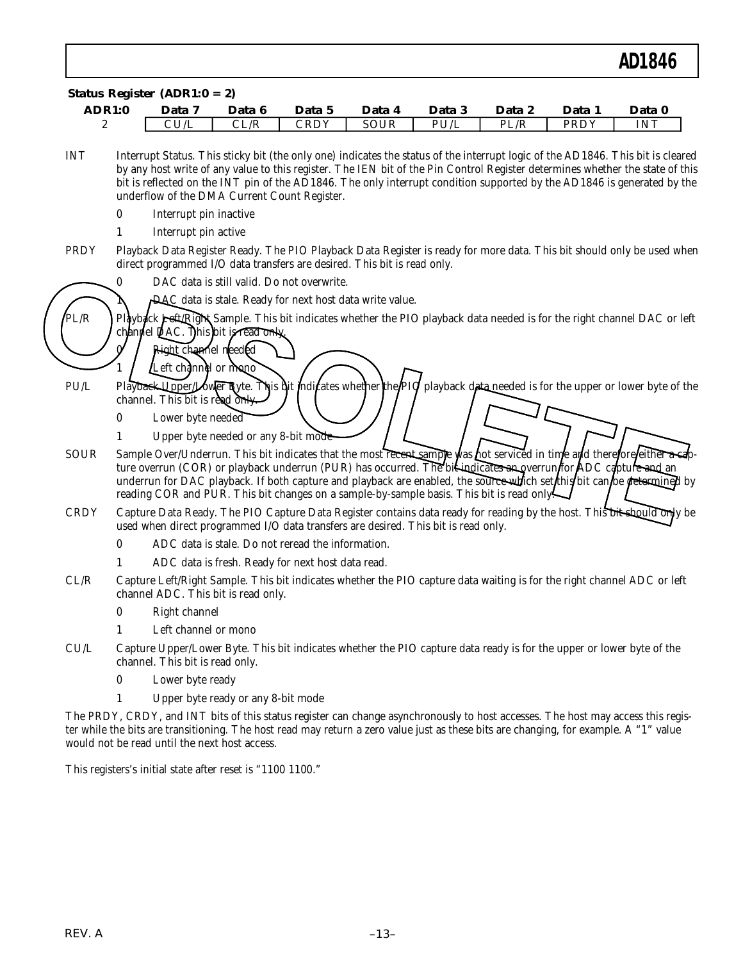| <b>ADR1:0</b><br>$\boldsymbol{2}$ |          | Data 7<br>CU/L                                                                                                                                                                         | Data 6<br>CL/R                                                                                                                                                                                                                                                                                                                                                                                                                                                       | Data 5<br><b>CRDY</b> | Data 4<br><b>SOUR</b> | Data 3<br>PU/L | Data 2<br>PL/R | Data 1<br><b>PRDY</b> | Data 0<br><b>INT</b> |
|-----------------------------------|----------|----------------------------------------------------------------------------------------------------------------------------------------------------------------------------------------|----------------------------------------------------------------------------------------------------------------------------------------------------------------------------------------------------------------------------------------------------------------------------------------------------------------------------------------------------------------------------------------------------------------------------------------------------------------------|-----------------------|-----------------------|----------------|----------------|-----------------------|----------------------|
|                                   |          |                                                                                                                                                                                        |                                                                                                                                                                                                                                                                                                                                                                                                                                                                      |                       |                       |                |                |                       |                      |
| <b>INT</b>                        |          |                                                                                                                                                                                        | Interrupt Status. This sticky bit (the only one) indicates the status of the interrupt logic of the AD1846. This bit is cleared<br>by any host write of any value to this register. The IEN bit of the Pin Control Register determines whether the state of this<br>bit is reflected on the INT pin of the AD1846. The only interrupt condition supported by the AD1846 is generated by the<br>underflow of the DMA Current Count Register.                          |                       |                       |                |                |                       |                      |
|                                   | $\bf{0}$ | Interrupt pin inactive                                                                                                                                                                 |                                                                                                                                                                                                                                                                                                                                                                                                                                                                      |                       |                       |                |                |                       |                      |
|                                   | 1        | Interrupt pin active                                                                                                                                                                   |                                                                                                                                                                                                                                                                                                                                                                                                                                                                      |                       |                       |                |                |                       |                      |
| <b>PRDY</b>                       |          |                                                                                                                                                                                        | Playback Data Register Ready. The PIO Playback Data Register is ready for more data. This bit should only be used when<br>direct programmed I/O data transfers are desired. This bit is read only.                                                                                                                                                                                                                                                                   |                       |                       |                |                |                       |                      |
|                                   | 0        |                                                                                                                                                                                        | DAC data is still valid. Do not overwrite.                                                                                                                                                                                                                                                                                                                                                                                                                           |                       |                       |                |                |                       |                      |
|                                   |          |                                                                                                                                                                                        | DAC data is stale. Ready for next host data write value.                                                                                                                                                                                                                                                                                                                                                                                                             |                       |                       |                |                |                       |                      |
| PL/R                              |          |                                                                                                                                                                                        | Playbock Lett Right Sample. This bit indicates whether the PIO playback data needed is for the right channel DAC or left<br>channel DAC. This bit is read only                                                                                                                                                                                                                                                                                                       |                       |                       |                |                |                       |                      |
|                                   |          | Right channel needed                                                                                                                                                                   |                                                                                                                                                                                                                                                                                                                                                                                                                                                                      |                       |                       |                |                |                       |                      |
|                                   |          | Left channel or mono                                                                                                                                                                   |                                                                                                                                                                                                                                                                                                                                                                                                                                                                      |                       |                       |                |                |                       |                      |
| PU/L                              |          | channel. This bit is read only.                                                                                                                                                        | Playback Upper/Lower Byte. This bit indicates whether the PIO playback data-needed is for the upper or lower byte of the                                                                                                                                                                                                                                                                                                                                             |                       |                       |                |                |                       |                      |
|                                   | $\bf{0}$ | Lower byte needed                                                                                                                                                                      |                                                                                                                                                                                                                                                                                                                                                                                                                                                                      |                       |                       |                |                |                       |                      |
|                                   | 1        |                                                                                                                                                                                        | Upper byte needed or any 8-bit mode                                                                                                                                                                                                                                                                                                                                                                                                                                  |                       |                       |                |                |                       |                      |
| <b>SOUR</b>                       |          |                                                                                                                                                                                        | Sample Over/Underrun. This bit indicates that the most recent sample was not serviced in time and therefore either a cap-<br>ture overrun (COR) or playback underrun (PUR) has occurred. The bit-indicates an overrun for ADC capture and an<br>underrun for DAC playback. If both capture and playback are enabled, the source which set this bit can be determined by<br>reading COR and PUR. This bit changes on a sample-by-sample basis. This bit is read only. |                       |                       |                |                |                       |                      |
| <b>CRDY</b>                       |          |                                                                                                                                                                                        | Capture Data Ready. The PIO Capture Data Register contains data ready for reading by the host. This bit should only be<br>used when direct programmed I/O data transfers are desired. This bit is read only.                                                                                                                                                                                                                                                         |                       |                       |                |                |                       |                      |
|                                   | $\bf{0}$ |                                                                                                                                                                                        | ADC data is stale. Do not reread the information.                                                                                                                                                                                                                                                                                                                                                                                                                    |                       |                       |                |                |                       |                      |
|                                   | 1        |                                                                                                                                                                                        | ADC data is fresh. Ready for next host data read.                                                                                                                                                                                                                                                                                                                                                                                                                    |                       |                       |                |                |                       |                      |
| CL/R                              |          |                                                                                                                                                                                        | Capture Left/Right Sample. This bit indicates whether the PIO capture data waiting is for the right channel ADC or left<br>channel ADC. This bit is read only.                                                                                                                                                                                                                                                                                                       |                       |                       |                |                |                       |                      |
|                                   | $\bf{0}$ | Right channel                                                                                                                                                                          |                                                                                                                                                                                                                                                                                                                                                                                                                                                                      |                       |                       |                |                |                       |                      |
|                                   | 1        | Left channel or mono                                                                                                                                                                   |                                                                                                                                                                                                                                                                                                                                                                                                                                                                      |                       |                       |                |                |                       |                      |
| CU/L                              |          | channel. This bit is read only.                                                                                                                                                        | Capture Upper/Lower Byte. This bit indicates whether the PIO capture data ready is for the upper or lower byte of the                                                                                                                                                                                                                                                                                                                                                |                       |                       |                |                |                       |                      |
|                                   | $\bf{0}$ | Lower byte ready                                                                                                                                                                       |                                                                                                                                                                                                                                                                                                                                                                                                                                                                      |                       |                       |                |                |                       |                      |
|                                   | 1        |                                                                                                                                                                                        | Upper byte ready or any 8-bit mode                                                                                                                                                                                                                                                                                                                                                                                                                                   |                       |                       |                |                |                       |                      |
|                                   |          | ter while the bits are transitioning. The host read may return a zero value just as these bits are changing, for example. A "1" value<br>would not be read until the next host access. | The PRDY, CRDY, and INT bits of this status register can change asynchronously to host accesses. The host may access this regis-                                                                                                                                                                                                                                                                                                                                     |                       |                       |                |                |                       |                      |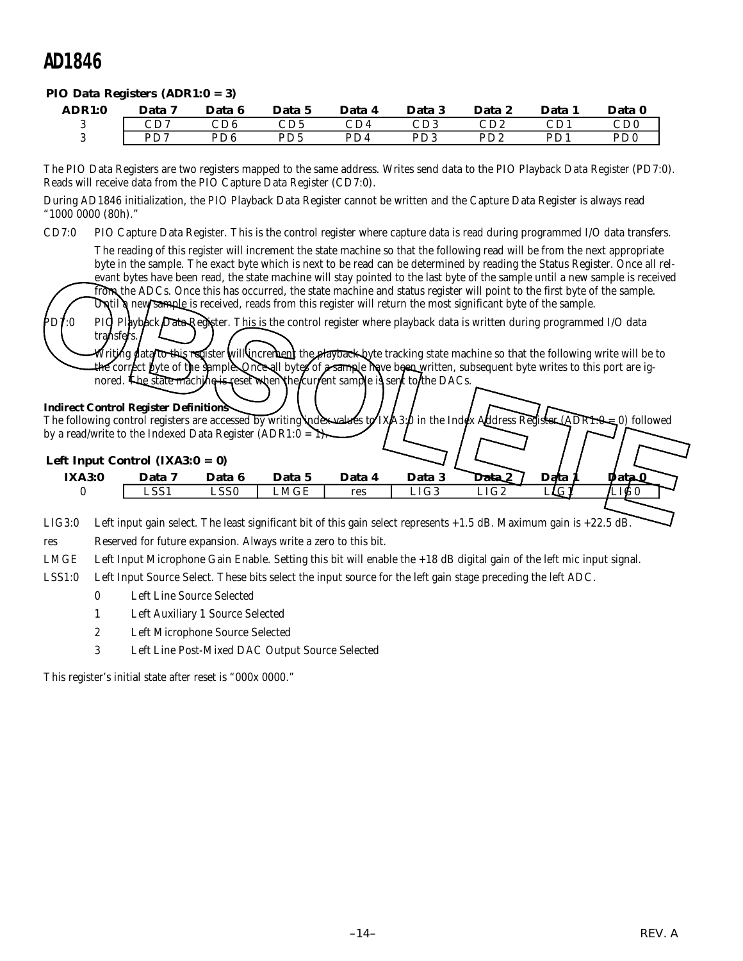#### *PIO Data Registers (ADR1:0 = 3)*

| <b>ADR1:0</b> | Data 7       | Data 6 | Data 5                      | Data 4                    | Data 3 | Data 2                      | Data 1                  | Data 0                      |
|---------------|--------------|--------|-----------------------------|---------------------------|--------|-----------------------------|-------------------------|-----------------------------|
|               | $_{\rm CD7}$ | CD6    | CD <sub>5</sub>             | $\mathbb{C}\mathrm{D}4$ . | CD3    | $\mathop{\rm CD2}\nolimits$ | CD1                     | $\mathop{\rm CD0}\nolimits$ |
|               | $D\Gamma$    | PD6.   | P <sub>D</sub> <sub>5</sub> | PD4                       | PD3    | PD <sub>2</sub>             | <b>D</b> D <sub>1</sub> | P <sub>D</sub> <sub>0</sub> |

The PIO Data Registers are two registers mapped to the same address. Writes send data to the PIO Playback Data Register (PD7:0). Reads will receive data from the PIO Capture Data Register (CD7:0).

During AD1846 initialization, the PIO Playback Data Register cannot be written and the Capture Data Register is always read "1000 0000 (80h)."

CD7:0 PIO Capture Data Register. This is the control register where capture data is read during programmed I/O data transfers.

The reading of this register will increment the state machine so that the following read will be from the next appropriate byte in the sample. The exact byte which is next to be read can be determined by reading the Status Register. Once all relevant bytes have been read, the state machine will stay pointed to the last byte of the sample until a new sample is received from the ADCs. Once this has occurred, the state machine and status register will point to the first byte of the sample. Until a new sample is received, reads from this register will return the most significant byte of the sample. PD7:0 PIQ Playback Data Register. This is the control register where playback data is written during programmed I/O data transfers Vriting data/to this register will increment the playback byte tracking state machine so that the following write will be to the correct lyte of the sample. Once all bytes of a sample have been written, subsequent byte writes to this port are ignored. The state machine is reset when the current sample is sent to the DACs. **Indirect Control Register Definitions** The following control registers are accessed by writing index values to  $IXA3:0$  in the Index Address Register (ADR1:0 = 0) followed by a read/write to the Indexed Data Register (ADR1:0 =  $\rightarrow$ *Left Input Control (IXA3:0 = 0)* **IXA3:0 Data 7 Data 6 Data 5 Data 4 Data 3 Data 2 Data 1 Data 0** 0 LSS1 LSS0 LMGE res LIG3 LIG2 LIG1 LIG0 From the state is have been read, the state machine will stay pointed to the last byte of the sample until a new sample is received<br>
The ADCs. Once this has occurred, the state machine and status register will point to the

LIG3:0 Left input gain select. The least significant bit of this gain select represents +1.5 dB. Maximum gain is +22.5 dB.

res Reserved for future expansion. Always write a zero to this bit.

LMGE Left Input Microphone Gain Enable. Setting this bit will enable the +18 dB digital gain of the left mic input signal.

LSS1:0 Left Input Source Select. These bits select the input source for the left gain stage preceding the left ADC.

- 0 Left Line Source Selected
- 1 Left Auxiliary 1 Source Selected
- 2 Left Microphone Source Selected
- 3 Left Line Post-Mixed DAC Output Source Selected

This register's initial state after reset is "000x 0000."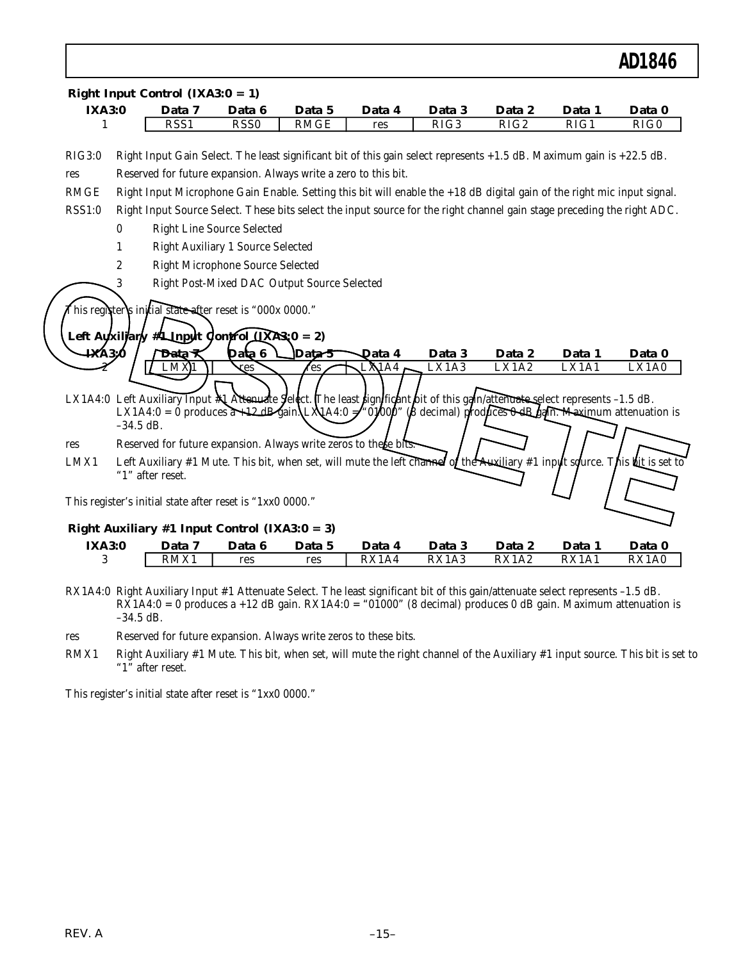| <b>IXA3:0</b>                          |             | Data 7           | Data 6                                                                                                                                                                                             | Data 5      | Data 4        | Data 3 | Data 2                                                                       | Data 1 | Data 0 |
|----------------------------------------|-------------|------------------|----------------------------------------------------------------------------------------------------------------------------------------------------------------------------------------------------|-------------|---------------|--------|------------------------------------------------------------------------------|--------|--------|
| 1                                      |             | RSS <sub>1</sub> | RSS <sub>0</sub>                                                                                                                                                                                   | <b>RMGE</b> | res           | RIG3   | RIG2                                                                         | RIG1   | RIG0   |
| RIG3:0                                 |             |                  | Right Input Gain Select. The least significant bit of this gain select represents $+1.5$ dB. Maximum gain is $+22.5$ dB.                                                                           |             |               |        |                                                                              |        |        |
| res                                    |             |                  | Reserved for future expansion. Always write a zero to this bit.                                                                                                                                    |             |               |        |                                                                              |        |        |
| <b>RMGE</b>                            |             |                  | Right Input Microphone Gain Enable. Setting this bit will enable the +18 dB digital gain of the right mic input signal.                                                                            |             |               |        |                                                                              |        |        |
| <b>RSS1:0</b>                          |             |                  | Right Input Source Select. These bits select the input source for the right channel gain stage preceding the right ADC.                                                                            |             |               |        |                                                                              |        |        |
|                                        | 0           |                  | <b>Right Line Source Selected</b>                                                                                                                                                                  |             |               |        |                                                                              |        |        |
|                                        | 1           |                  | <b>Right Auxiliary 1 Source Selected</b>                                                                                                                                                           |             |               |        |                                                                              |        |        |
|                                        | 2           |                  | <b>Right Microphone Source Selected</b>                                                                                                                                                            |             |               |        |                                                                              |        |        |
|                                        | 3           |                  | Right Post-Mixed DAC Output Source Selected                                                                                                                                                        |             |               |        |                                                                              |        |        |
| $\mathbf{4} \mathbf{X} \mathbf{A}$ 3:0 |             | Data             | This register's initial state after reset is "000x 0000."<br>Left Ayxillary #1-Input Control $(XA3x0 = 2)$<br>Data 6                                                                               | Data 5      | <b>Qata 4</b> | Data 3 | Data 2                                                                       | Data 1 | Data 0 |
|                                        |             |                  | ses                                                                                                                                                                                                | 'es         | MA4           | LX1A3  | LX1A2                                                                        | LX1A1  | LX1A0  |
|                                        | $-34.5$ dB. |                  | LX1A4:0 Left Auxiliary Input $\mathbb A$ Attenuate Seldct. The least significant bit of this gain/attenuate solect represents -1.5 dB.<br>LX1A4:0 = 0 produces $\lambda$ 12 dB gain\LX A4:0 $\neq$ |             | 0,000         |        | $(\beta \text{ decimal})$ produces $\text{UdB}$ gain. Maximum attenuation is |        |        |
|                                        |             |                  | Reserved for future expansion. Always write zeros to these bits.                                                                                                                                   |             |               |        |                                                                              |        |        |
|                                        |             |                  |                                                                                                                                                                                                    |             |               |        |                                                                              |        |        |
|                                        |             |                  | Left Auxiliary #1 Mute. This bit, when set, will mute the left channel of the Auxiliary #1 input source. This bit is set to                                                                        |             |               |        |                                                                              |        |        |
|                                        |             | "1" after reset. |                                                                                                                                                                                                    |             |               |        |                                                                              |        |        |
|                                        |             |                  | This register's initial state after reset is "1xx0 0000."                                                                                                                                          |             |               |        |                                                                              |        |        |
|                                        |             |                  |                                                                                                                                                                                                    |             |               |        |                                                                              |        |        |
| res<br>LMX1<br><b>IXA3:0</b>           |             | Data 7           | Right Auxiliary #1 Input Control (IXA3: $0 = 3$ )<br>Data 6                                                                                                                                        | Data 5      | Data 4        | Data 3 | Data 2                                                                       | Data 1 | Data 0 |

- RX1A4:0 Right Auxiliary Input #1 Attenuate Select. The least significant bit of this gain/attenuate select represents –1.5 dB.  $RX1A4:0 = 0$  produces a +12 dB gain. RX1A4:0 = "01000" (8 decimal) produces 0 dB gain. Maximum attenuation is –34.5 dB.
- res Reserved for future expansion. Always write zeros to these bits.
- RMX1 Right Auxiliary #1 Mute. This bit, when set, will mute the right channel of the Auxiliary #1 input source. This bit is set to "1" after reset.

This register's initial state after reset is "1xx0 0000."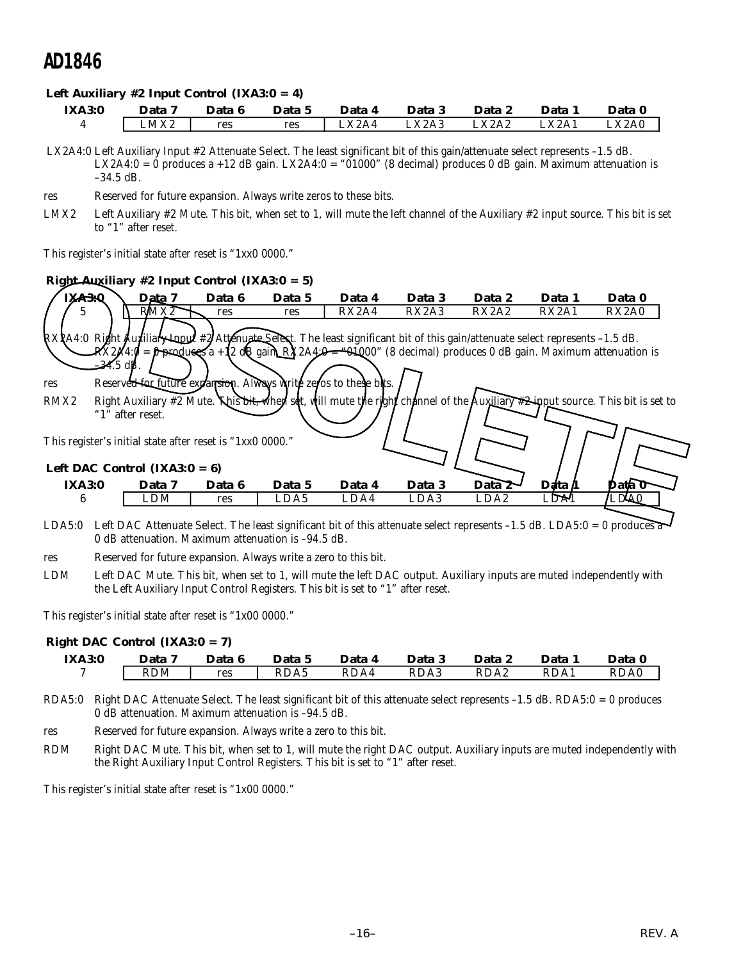#### *Left Auxiliary #2 Input Control (IXA3:0 = 4)*

| <b>IXA3:0</b> | Data | Data 6 | Data 5 | Data 4   | Data 3 | Data 2 | Data 1 | Data 0 |
|---------------|------|--------|--------|----------|--------|--------|--------|--------|
|               | LMX2 | res    | res    | $\_X2A4$ | LX2A3  | LX2A2  | LX2A1  | LX2A0  |

 LX2A4:0 Left Auxiliary Input #2 Attenuate Select. The least significant bit of this gain/attenuate select represents –1.5 dB. LX2A4:0 = 0 produces a +12 dB gain. LX2A4:0 = "01000" (8 decimal) produces 0 dB gain. Maximum attenuation is –34.5 dB.

- res Reserved for future expansion. Always write zeros to these bits.
- LMX2 Left Auxiliary #2 Mute. This bit, when set to 1, will mute the left channel of the Auxiliary #2 input source. This bit is set to "1" after reset.

This register's initial state after reset is "1xx0 0000."

#### *Right Auxiliary #2 Input Control (IXA3:0 = 5)*

| Right-Auxiliary #2 Input Control (IXA3:0 = 5)                                                                                                   |                                                                                                                                                                                                              |        |        |        |        |                  |            |                                                                                                                              |
|-------------------------------------------------------------------------------------------------------------------------------------------------|--------------------------------------------------------------------------------------------------------------------------------------------------------------------------------------------------------------|--------|--------|--------|--------|------------------|------------|------------------------------------------------------------------------------------------------------------------------------|
| IX <sub>A3.0</sub>                                                                                                                              | Data 7                                                                                                                                                                                                       | Data 6 | Data 5 | Data 4 | Data 3 | Data 2           | Data 1     | Data 0                                                                                                                       |
| 5                                                                                                                                               | RMX <sub>2</sub>                                                                                                                                                                                             | res    | res    | RX2A4  | RX2A3  | RX2A2            | RX2A1      | RX2A0                                                                                                                        |
| RXXA4:0 Right Auxiliary Input #2 Attenuate Select. The least significant bit of this gain/attenuate select represents -1.5 dB.                  |                                                                                                                                                                                                              |        |        |        |        |                  |            |                                                                                                                              |
|                                                                                                                                                 | $\mathbb{R}$ X2 $\mathbb{A}$ 4: $\mathcal{G} = \mathcal{F}$ product $\mathcal{F}$ a +12 dR gain R $\mathcal{F}$ 2A4 $\mathcal{F} = \mathcal{F}$ +100° (8 decimal) produces 0 dB gain. Maximum attenuation is |        |        |        |        |                  |            |                                                                                                                              |
| =34.5 dB.                                                                                                                                       |                                                                                                                                                                                                              |        |        |        |        |                  |            |                                                                                                                              |
| res                                                                                                                                             | Reserved for future expansion. Always write zeros to these bits.                                                                                                                                             |        |        |        |        |                  |            |                                                                                                                              |
| RMX <sub>2</sub>                                                                                                                                |                                                                                                                                                                                                              |        |        |        |        |                  |            | Right Auxiliary #2 Mute. This bit, when set, will mute the right channel of the Auxiliary #2 mput source. This bit is set to |
|                                                                                                                                                 | "1" after reset.                                                                                                                                                                                             |        |        |        |        |                  |            |                                                                                                                              |
| This register's initial state after reset is "1xx0 0000."                                                                                       |                                                                                                                                                                                                              |        |        |        |        |                  |            |                                                                                                                              |
|                                                                                                                                                 |                                                                                                                                                                                                              |        |        |        |        |                  |            |                                                                                                                              |
| Left DAC Control (IXA3: $0 = 6$ )                                                                                                               |                                                                                                                                                                                                              |        |        |        |        |                  |            |                                                                                                                              |
| <b>IXA3:0</b>                                                                                                                                   | Data 7                                                                                                                                                                                                       | Data 6 | Data 5 | Data 4 | Data 3 | Data 2           | Data $\mu$ | Data 0                                                                                                                       |
| 6                                                                                                                                               | LDM                                                                                                                                                                                                          | res    | LDA5   | LDA4   | LDA3   | LDA <sub>2</sub> | LDA1       | .DA0                                                                                                                         |
| $I DAE.0 I of DAC$ transite $C_0$ and $T_{\text{loc}}$ the legat giant from thit of this attenuate select represents $I E$ dD IDAE.0 0 produced |                                                                                                                                                                                                              |        |        |        |        |                  |            |                                                                                                                              |

- LDA5:0 Left DAC Attenuate Select. The least significant bit of this attenuate select represents –1.5 dB. LDA5:0 = 0 produces a 0 dB attenuation. Maximum attenuation is –94.5 dB.
- res Reserved for future expansion. Always write a zero to this bit.
- LDM Left DAC Mute. This bit, when set to 1, will mute the left DAC output. Auxiliary inputs are muted independently with the Left Auxiliary Input Control Registers. This bit is set to "1" after reset.

This register's initial state after reset is "1x00 0000."

#### *Right DAC Control (IXA3:0 = 7)*

| <b>IXA3:0</b> | Data 7 | Data 6 | Data 5 | Data 4 | Data 3 | Data 2 | Data 1 | Data 0 |
|---------------|--------|--------|--------|--------|--------|--------|--------|--------|
|               | RDM    | res    | RDA5   | RDA4   | RDA3   | RDA2   | RDA1   | RDA0   |

- RDA5:0 Right DAC Attenuate Select. The least significant bit of this attenuate select represents –1.5 dB. RDA5:0 = 0 produces 0 dB attenuation. Maximum attenuation is –94.5 dB.
- res Reserved for future expansion. Always write a zero to this bit.
- RDM Right DAC Mute. This bit, when set to 1, will mute the right DAC output. Auxiliary inputs are muted independently with the Right Auxiliary Input Control Registers. This bit is set to "1" after reset.

This register's initial state after reset is "1x00 0000."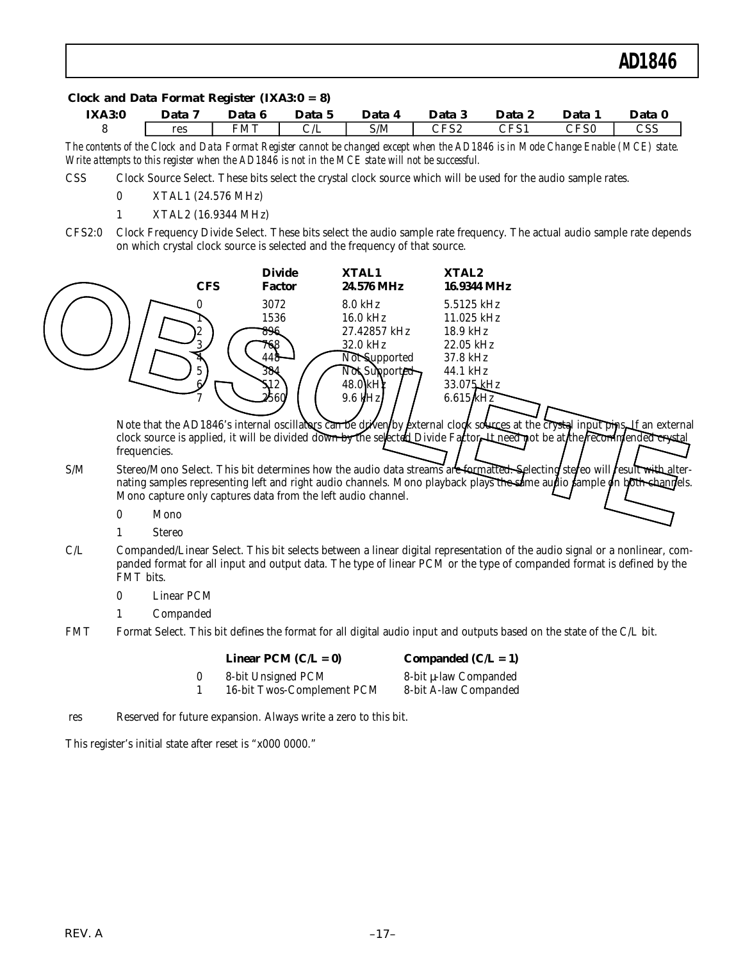#### *Clock and Data Format Register (IXA3:0 = 8)*

| <b>IXA3:0</b> | Data 7 | Data 6 | Data   | Data 4 | Data 3                   | Data 2                       | Data 1                 | Data 0 |
|---------------|--------|--------|--------|--------|--------------------------|------------------------------|------------------------|--------|
|               | res    | FMT    | بلا اب | S/M    | $\mathop{\mathrm{CFS2}}$ | $\mathop{\rm CFS1}\nolimits$ | $\mathbb{C}\text{FS0}$ | CSS    |

*The contents of the Clock and Data Format Register cannot be changed except when the AD1846 is in Mode Change Enable (MCE) state. Write attempts to this register when the AD1846 is not in the MCE state will not be successful.*

- CSS Clock Source Select. These bits select the crystal clock source which will be used for the audio sample rates.
	- 0 XTAL1 (24.576 MHz)
	- 1 XTAL2 (16.9344 MHz)
- CFS2:0 Clock Frequency Divide Select. These bits select the audio sample rate frequency. The actual audio sample rate depends on which crystal clock source is selected and the frequency of that source.



Note that the AD1846's internal oscillators can be driven by external clock sources at the crystal input pins. Han external clock source is applied, it will be divided down by the selected Divide Factor. It need not be at the recommended crystal frequencies.

- S/M Stereo/Mono Select. This bit determines how the audio data streams are formatted. Selecting stereo will result with alternating samples representing left and right audio channels. Mono playback plays the same audio sample on both channels. Mono capture only captures data from the left audio channel.
	- 0 Mono
	- 1 Stereo
- C/L Companded/Linear Select. This bit selects between a linear digital representation of the audio signal or a nonlinear, companded format for all input and output data. The type of linear PCM or the type of companded format is defined by the FMT bits.
	- 0 Linear PCM
	- 1 Companded
- FMT Format Select. This bit defines the format for all digital audio input and outputs based on the state of the C/L bit.

| Linear PCM $(C/L = 0)$ |  |
|------------------------|--|
|------------------------|--|

0 8-bit Unsigned PCM 8-bit µ-law Companded

Companded  $(C/L = 1)$ 1 16-bit Twos-Complement PCM 8-bit A-law Companded

res Reserved for future expansion. Always write a zero to this bit.

This register's initial state after reset is "x000 0000."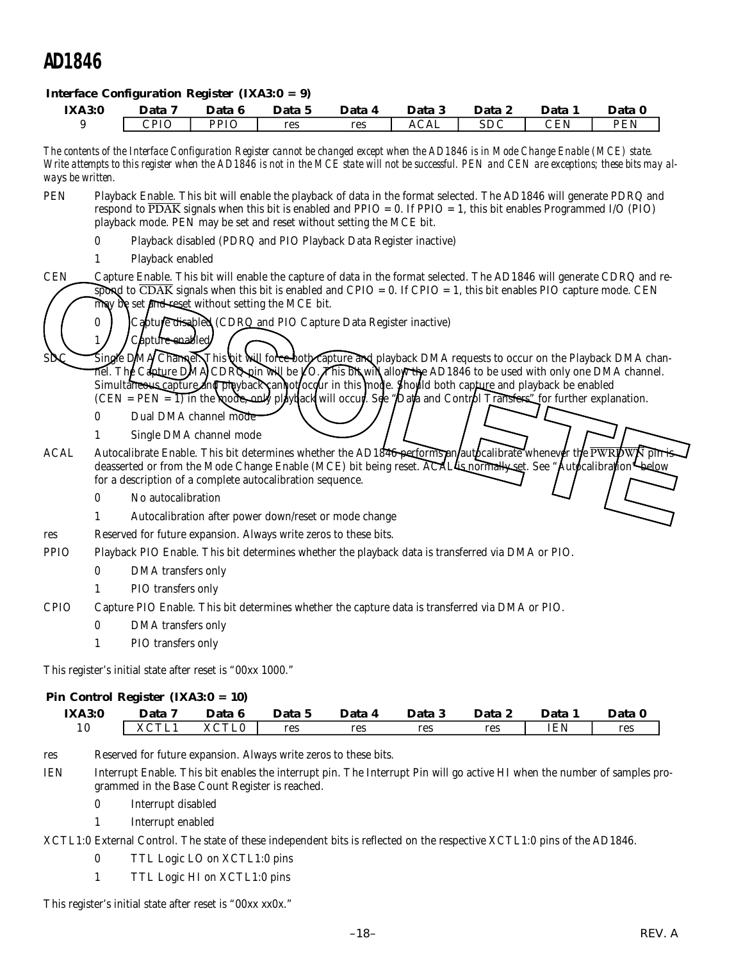#### *Interface Configuration Register (IXA3:0 = 9)*

| <b>IXA3:0</b><br>9<br>ways be written.<br><b>PEN</b><br><b>CEN</b> | 0            | Data 7<br><b>CPIO</b><br>Playback enabled | Data 6<br><b>PPIO</b>   | Data 5<br>res<br>playback mode. PEN may be set and reset without setting the MCE bit.<br>Playback disabled (PDRQ and PIO Playback Data Register inactive) | Data 4<br>res | Data 3<br><b>ACAL</b><br>The contents of the Interface Configuration Register cannot be changed except when the AD1846 is in Mode Change Enable (MCE) state.<br>respond to PDAK signals when this bit is enabled and PPIO = 0. If PPIO = 1, this bit enables Programmed I/O (PIO)                                                                                       | Data 2<br>SDC | Data 1<br>CEN | Data 0<br><b>PEN</b><br>Write attempts to this register when the AD1846 is not in the MCE state will not be successful. PEN and CEN are exceptions; these bits may al-<br>Playback Enable. This bit will enable the playback of data in the format selected. The AD1846 will generate PDRQ and                                                                                                      |
|--------------------------------------------------------------------|--------------|-------------------------------------------|-------------------------|-----------------------------------------------------------------------------------------------------------------------------------------------------------|---------------|-------------------------------------------------------------------------------------------------------------------------------------------------------------------------------------------------------------------------------------------------------------------------------------------------------------------------------------------------------------------------|---------------|---------------|-----------------------------------------------------------------------------------------------------------------------------------------------------------------------------------------------------------------------------------------------------------------------------------------------------------------------------------------------------------------------------------------------------|
|                                                                    |              |                                           |                         |                                                                                                                                                           |               |                                                                                                                                                                                                                                                                                                                                                                         |               |               |                                                                                                                                                                                                                                                                                                                                                                                                     |
|                                                                    |              |                                           |                         |                                                                                                                                                           |               |                                                                                                                                                                                                                                                                                                                                                                         |               |               |                                                                                                                                                                                                                                                                                                                                                                                                     |
|                                                                    |              |                                           |                         |                                                                                                                                                           |               |                                                                                                                                                                                                                                                                                                                                                                         |               |               |                                                                                                                                                                                                                                                                                                                                                                                                     |
|                                                                    |              |                                           |                         |                                                                                                                                                           |               |                                                                                                                                                                                                                                                                                                                                                                         |               |               |                                                                                                                                                                                                                                                                                                                                                                                                     |
|                                                                    |              |                                           |                         |                                                                                                                                                           |               |                                                                                                                                                                                                                                                                                                                                                                         |               |               |                                                                                                                                                                                                                                                                                                                                                                                                     |
| <b>SDC</b>                                                         | 0            | Capture enabled                           |                         | may be set and reset without setting the MCE bit.<br>Capture disabled (CDRQ and PIO Capture Data Register inactive)                                       |               | spond to $\overline{CDAK}$ signals when this bit is enabled and $CPIO = 0$ . If $CPIO = 1$ , this bit enables PIO capture mode. CEN<br>Simultaneous capture and playback cannot occur in this mode. Should both capture and playback be enabled<br>$(CEN = PEN = 1)$ in the hoode, only play dack will occup. See "Data and Control Transfers" for further explanation. |               |               | Capture Enable. This bit will enable the capture of data in the format selected. The AD1846 will generate CDRQ and re-<br>Single DMA Channel. This hit will force both Capture and playback DMA requests to occur on the Playback DMA chan-<br>$\overline{\text{nel}}$ . The Capture DMA CDRQ pin will be $\cancel{\text{LO}}$ . This bility allow the AD1846 to be used with only one DMA channel. |
|                                                                    | 0            |                                           | Dual DMA channel mode   |                                                                                                                                                           |               |                                                                                                                                                                                                                                                                                                                                                                         |               |               |                                                                                                                                                                                                                                                                                                                                                                                                     |
| <b>ACAL</b>                                                        | 1            |                                           | Single DMA channel mode | for a description of a complete autocalibration sequence.                                                                                                 |               |                                                                                                                                                                                                                                                                                                                                                                         |               |               | Autocalibrate Enable. This bit determines whether the AD1840 performs an autocalibrate whenever the $\overline{PWRDWR}$ pin is<br>deasserted or from the Mode Change Enable (MCE) bit being reset. ACALLs normally set. See "Autocalibration" below                                                                                                                                                 |
|                                                                    | $\mathbf{0}$ | No autocalibration                        |                         |                                                                                                                                                           |               |                                                                                                                                                                                                                                                                                                                                                                         |               |               |                                                                                                                                                                                                                                                                                                                                                                                                     |
|                                                                    |              |                                           |                         | Autocalibration after power down/reset or mode change                                                                                                     |               |                                                                                                                                                                                                                                                                                                                                                                         |               |               |                                                                                                                                                                                                                                                                                                                                                                                                     |
| res                                                                |              |                                           |                         | Reserved for future expansion. Always write zeros to these bits.                                                                                          |               |                                                                                                                                                                                                                                                                                                                                                                         |               |               |                                                                                                                                                                                                                                                                                                                                                                                                     |
| <b>PPIO</b>                                                        |              |                                           |                         |                                                                                                                                                           |               | Playback PIO Enable. This bit determines whether the playback data is transferred via DMA or PIO.                                                                                                                                                                                                                                                                       |               |               |                                                                                                                                                                                                                                                                                                                                                                                                     |
|                                                                    | 0            | DMA transfers only                        |                         |                                                                                                                                                           |               |                                                                                                                                                                                                                                                                                                                                                                         |               |               |                                                                                                                                                                                                                                                                                                                                                                                                     |
|                                                                    | 1            | PIO transfers only                        |                         |                                                                                                                                                           |               |                                                                                                                                                                                                                                                                                                                                                                         |               |               |                                                                                                                                                                                                                                                                                                                                                                                                     |
| <b>CPIO</b>                                                        |              |                                           |                         |                                                                                                                                                           |               | Capture PIO Enable. This bit determines whether the capture data is transferred via DMA or PIO.                                                                                                                                                                                                                                                                         |               |               |                                                                                                                                                                                                                                                                                                                                                                                                     |
|                                                                    | $\bf{0}$     | DMA transfers only                        |                         |                                                                                                                                                           |               |                                                                                                                                                                                                                                                                                                                                                                         |               |               |                                                                                                                                                                                                                                                                                                                                                                                                     |
|                                                                    | 1            | PIO transfers only                        |                         |                                                                                                                                                           |               |                                                                                                                                                                                                                                                                                                                                                                         |               |               |                                                                                                                                                                                                                                                                                                                                                                                                     |

#### *Pin Control Register (IXA3:0 = 10)*

| <b>IXA3:0</b> | Data            | -6<br>Data | Data 5 | Data 4 | Data 3 | <b>Data</b> | Data       | Data |
|---------------|-----------------|------------|--------|--------|--------|-------------|------------|------|
| 10            | VCTI.<br>$\sim$ | XCTL0      | res    | res    | res    | res         | <b>IEN</b> | res  |

res Reserved for future expansion. Always write zeros to these bits.

IEN Interrupt Enable. This bit enables the interrupt pin. The Interrupt Pin will go active HI when the number of samples programmed in the Base Count Register is reached.

- 0 Interrupt disabled
- 1 Interrupt enabled

XCTL1:0 External Control. The state of these independent bits is reflected on the respective XCTL1:0 pins of the AD1846.

- 0 TTL Logic LO on XCTL1:0 pins
- 1 TTL Logic HI on XCTL1:0 pins

This register's initial state after reset is "00xx xx0x."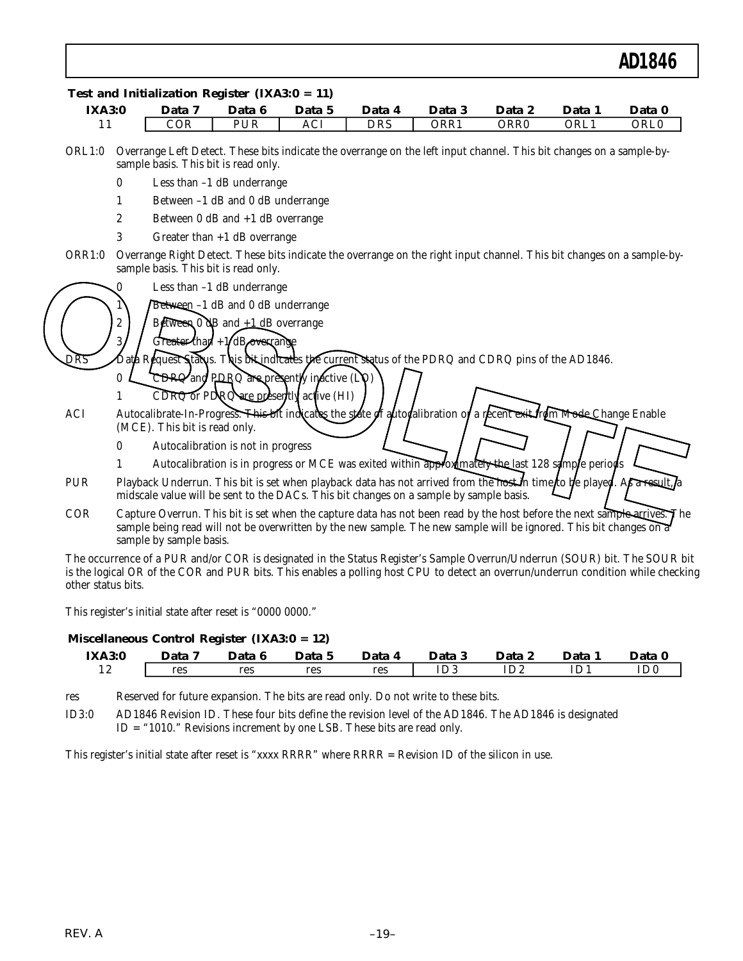| <b>IXA3:0</b> |                  | Data 7                               | Data 6                                                            | Data 5                                      | Data 4                                                                                                                                                                                                                                         | Data 3 | Data 2 | Data 1 | Data 0           |
|---------------|------------------|--------------------------------------|-------------------------------------------------------------------|---------------------------------------------|------------------------------------------------------------------------------------------------------------------------------------------------------------------------------------------------------------------------------------------------|--------|--------|--------|------------------|
| 11            |                  | COR                                  | PUR                                                               | ACI                                         | <b>DRS</b>                                                                                                                                                                                                                                     | ORR1   | ORR0   | ORL1   | ORL <sub>0</sub> |
| ORL1:0        |                  | sample basis. This bit is read only. |                                                                   |                                             | Overrange Left Detect. These bits indicate the overrange on the left input channel. This bit changes on a sample-by-                                                                                                                           |        |        |        |                  |
|               | $\boldsymbol{0}$ | Less than -1 dB underrange           |                                                                   |                                             |                                                                                                                                                                                                                                                |        |        |        |                  |
|               | 1                | Between -1 dB and 0 dB underrange    |                                                                   |                                             |                                                                                                                                                                                                                                                |        |        |        |                  |
|               | $\boldsymbol{2}$ | Between 0 dB and +1 dB overrange     |                                                                   |                                             |                                                                                                                                                                                                                                                |        |        |        |                  |
|               | 3                | Greater than $+1$ dB overrange       |                                                                   |                                             |                                                                                                                                                                                                                                                |        |        |        |                  |
| ORR1:0        |                  | sample basis. This bit is read only. |                                                                   |                                             | Overrange Right Detect. These bits indicate the overrange on the right input channel. This bit changes on a sample-by-                                                                                                                         |        |        |        |                  |
|               |                  | Less than $-1$ dB underrange         |                                                                   |                                             |                                                                                                                                                                                                                                                |        |        |        |                  |
|               |                  | Between -1 dB and 0 dB underrange    |                                                                   |                                             |                                                                                                                                                                                                                                                |        |        |        |                  |
|               | 2                |                                      | $B$ <i>d</i> Ween 0 $\frac{dB}{d}$ and $\frac{d}{d}$ dB overrange |                                             |                                                                                                                                                                                                                                                |        |        |        |                  |
|               |                  |                                      | Greater than $+1$ dB overcange                                    |                                             |                                                                                                                                                                                                                                                |        |        |        |                  |
| DRS           |                  |                                      |                                                                   |                                             | Request Status. This bit indicates the current status of the PDRQ and CDRQ pins of the AD1846.                                                                                                                                                 |        |        |        |                  |
|               | $\mathbf{0}$     |                                      |                                                                   | $CDRQ$ and PDRQ are presently inactive (LO) |                                                                                                                                                                                                                                                |        |        |        |                  |
|               |                  |                                      |                                                                   | CDRQ or PDRQ are presently active (HI)      |                                                                                                                                                                                                                                                |        |        |        |                  |
| <b>ACI</b>    |                  |                                      |                                                                   |                                             | Autocalibrate-In-Progress. This bit indicates the state of antocalibration of a recent exterious Mode-Change Enable                                                                                                                            |        |        |        |                  |
|               |                  | (MCE). This bit is read only.        |                                                                   |                                             |                                                                                                                                                                                                                                                |        |        |        |                  |
|               | 0                | Autocalibration is not in progress   |                                                                   |                                             |                                                                                                                                                                                                                                                |        |        |        |                  |
|               | 1                |                                      |                                                                   |                                             | Autocalibration is in progress or MCE was exited within approximately the last 128 sample periods                                                                                                                                              |        |        |        |                  |
| PUR           |                  |                                      |                                                                   |                                             | Playback Underrun. This bit is set when playback data has not arrived from the host in time to be played. As a result a<br>midscale value will be sent to the DACs. This bit changes on a sample by sample basis.                              |        |        |        |                  |
| COR           |                  | sample by sample basis.              |                                                                   |                                             | Capture Overrun. This bit is set when the capture data has not been read by the host before the next sample arrives. The<br>sample being read will not be overwritten by the new sample. The new sample will be ignored. This bit changes on a |        |        |        |                  |

This register's initial state after reset is "0000 0000."

#### *Miscellaneous Control Register (IXA3:0 = 12)*

| <b>IXA3:0</b>  | Data 7 | Data 6 | Data 5 | Data 4 | Data 3 | Data 2 | Data | Data 0 |
|----------------|--------|--------|--------|--------|--------|--------|------|--------|
| $\overline{1}$ | res    | res    | res    | res    | ID3    | ID2    | ıD*  | ID0    |

res Reserved for future expansion. The bits are read only. Do not write to these bits.

This register's initial state after reset is "xxxx RRRR" where RRRR = Revision ID of the silicon in use.

other status bits.

ID3:0 AD1846 Revision ID. These four bits define the revision level of the AD1846. The AD1846 is designated ID = "1010." Revisions increment by one LSB. These bits are read only.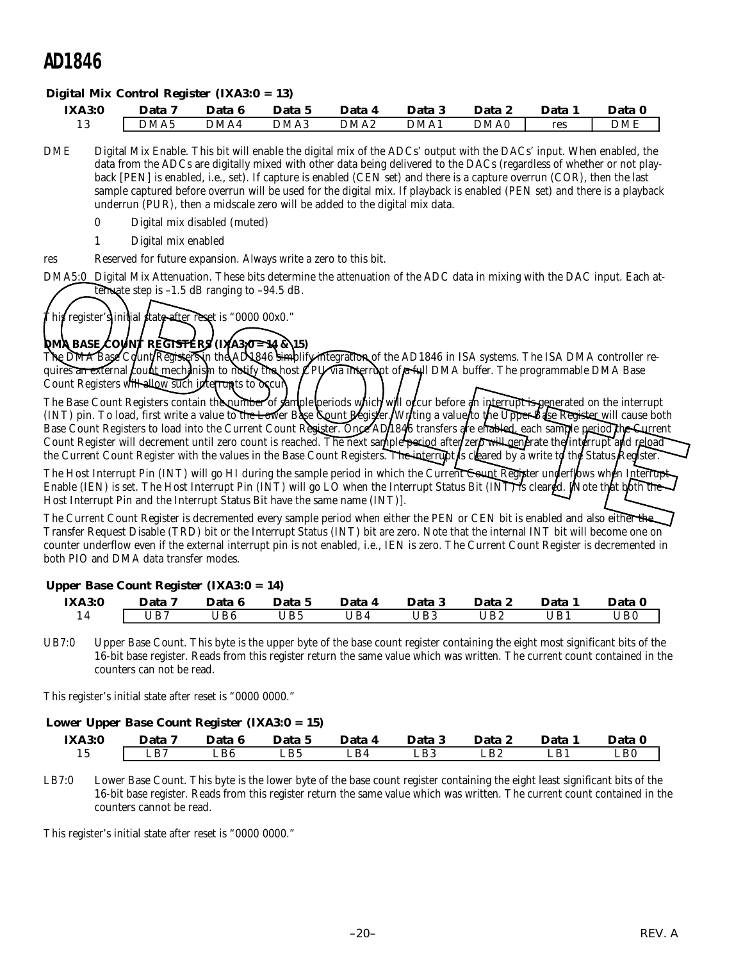#### *Digital Mix Control Register (IXA3:0 = 13)*

| <b>IXA3:0</b> | Data | Data 6 | Data 5 | Data 4           | Data | Data 2           | <b>Data</b> | Data |
|---------------|------|--------|--------|------------------|------|------------------|-------------|------|
| റ             | DMA5 | DMA4   | DMA3   | DMA <sub>2</sub> | DMA1 | DMA <sub>0</sub> | res         | DME  |

- DME Digital Mix Enable. This bit will enable the digital mix of the ADCs' output with the DACs' input. When enabled, the data from the ADCs are digitally mixed with other data being delivered to the DACs (regardless of whether or not playback [PEN] is enabled, i.e., set). If capture is enabled (CEN set) and there is a capture overrun (COR), then the last sample captured before overrun will be used for the digital mix. If playback is enabled (PEN set) and there is a playback underrun (PUR), then a midscale zero will be added to the digital mix data.
	- 0 Digital mix disabled (muted)
	- 1 Digital mix enabled
- res Reserved for future expansion. Always write a zero to this bit.
- DMA5:0 Digital Mix Attenuation. These bits determine the attenuation of the ADC data in mixing with the DAC input. Each attenuate step is  $-1.5$  dB ranging to  $-94.5$  dB.

# This register's initial state <del>aft</del>er reset is "0000 00x0."

*DMA BASE COUNT REGISTERS (IXA3:0 = 14 & 15)* The DMA Base Count/Registers in the AD1846 simplify integration of the AD1846 in ISA systems. The ISA DMA controller requires an external *count mechanism to notify the host* CPU via interrupt of Full DMA buffer. The programmable DMA Base Count Registers will allow such interrupts to occur

The Base Count Registers contain the number of sample periods which will occur before an interrupt is generated on the interrupt (INT) pin. To load, first write a value to the Lower Base Count Register. Writing a value to the Upper Base Register will cause both Base Count Registers to load into the Current Count Register. Once AD1846 transfers are enabled, each sample period the Current Count Register will decrement until zero count is reached. The next sample period after/zero will generate the interrupt and reload the Current Count Register with the values in the Base Count Registers. The interrupt is cleared by a write to the Status Register. DMA5.0 Digital Mix Attenuation. These bits determine the attenuation of the ADC data in mixing with the DAC input. Each at-<br>
This register s initial data methan is "0000 00x0."<br> **ODM BASE COMPRESSES IN A 36** For 15 0000 00

The Host Interrupt Pin (INT) will go HI during the sample period in which the Current Count Register underflows when Interrupt Enable (IEN) is set. The Host Interrupt Pin (INT) will go LO when the Interrupt Status Bit (INT) is cleared. [Note that both the Host Interrupt Pin and the Interrupt Status Bit have the same name (INT)].

The Current Count Register is decremented every sample period when either the PEN or CEN bit is enabled and also either the Transfer Request Disable (TRD) bit or the Interrupt Status (INT) bit are zero. Note that the internal INT bit will become one on counter underflow even if the external interrupt pin is not enabled, i.e., IEN is zero. The Current Count Register is decremented in both PIO and DMA data transfer modes.

#### *Upper Base Count Register (IXA3:0 = 14)*

| <b>IXA3:0</b> | Data 7 | Data 6 | Data 5 | Data 4 | Data 3       | Data 2 | Data | Data 0           |
|---------------|--------|--------|--------|--------|--------------|--------|------|------------------|
| 14            | UB7    | UB6    | JB5    | 'JB4   | $\sqrt{1}B3$ | JB2    | UB1  | $\overline{AB0}$ |

UB7:0 Upper Base Count. This byte is the upper byte of the base count register containing the eight most significant bits of the 16-bit base register. Reads from this register return the same value which was written. The current count contained in the counters can not be read.

This register's initial state after reset is "0000 0000."

#### *Lower Upper Base Count Register (IXA3:0 = 15)*

| <b>IXA3:0</b> | Data | Data 6 | Data 5 | Data 4 | Data 3 | <b>Data</b>             | Data                | Data 0 |
|---------------|------|--------|--------|--------|--------|-------------------------|---------------------|--------|
| ⊥ ∪           | LB7  | LB6    | LB5    | LB4    | LB3    | $\mathsf{L}\mathsf{B}2$ | $\mathbf{D}$<br>LDI | LB0    |

LB7:0 Lower Base Count. This byte is the lower byte of the base count register containing the eight least significant bits of the 16-bit base register. Reads from this register return the same value which was written. The current count contained in the counters cannot be read.

This register's initial state after reset is "0000 0000."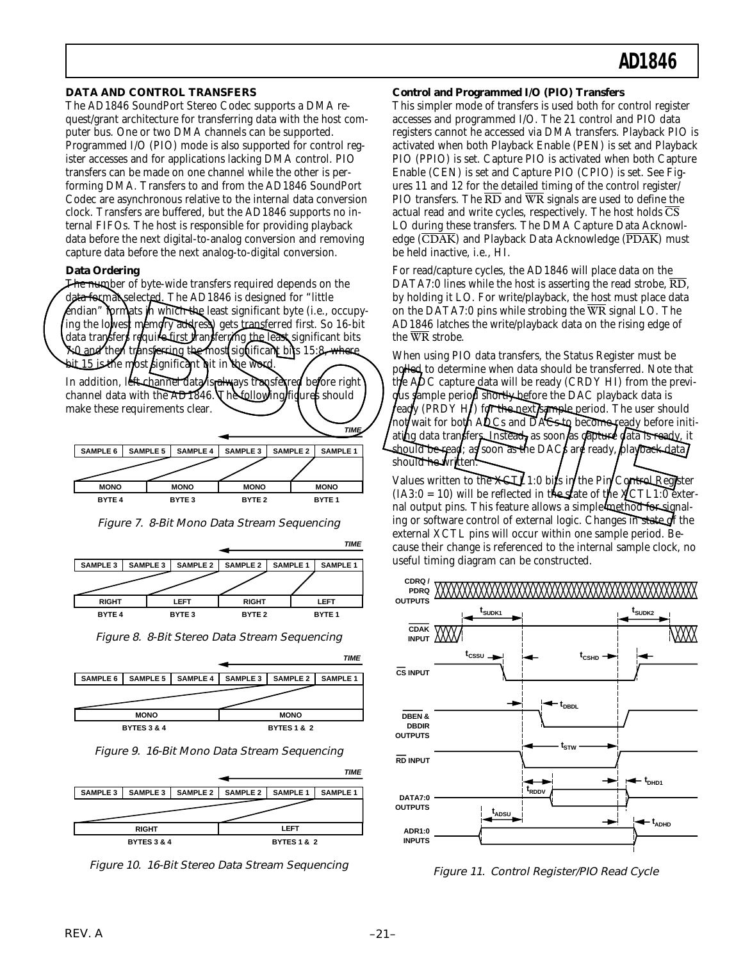#### **DATA AND CONTROL TRANSFERS**

The AD1846 SoundPort Stereo Codec supports a DMA request/grant architecture for transferring data with the host computer bus. One or two DMA channels can be supported. Programmed I/O (PIO) mode is also supported for control register accesses and for applications lacking DMA control. PIO transfers can be made on one channel while the other is performing DMA. Transfers to and from the AD1846 SoundPort Codec are asynchronous relative to the internal data conversion clock. Transfers are buffered, but the AD1846 supports no internal FIFOs. The host is responsible for providing playback data before the next digital-to-analog conversion and removing capture data before the next analog-to-digital conversion.

#### **Data Ordering**

The number of byte-wide transfers required depends on the data format selected. The AD1846 is designed for "little" endian" formats in which the least significant byte (i.e., occupying the lowest memory address) gets transferred first. So 16-bit data transfers require first transferming the least significant bits 7:0 and then transferring the most significant bits 15:8, where 15 is the most significant bit in the word.

In addition, left-channel data is always transferred before right channel data with the AD1846. The following figures should make these requirements clear.

|                 |                   | <b>TIME/</b>    |
|-----------------|-------------------|-----------------|
| <b>SAMPLE 3</b> |                   | <b>SAMPLE 1</b> |
|                 |                   |                 |
|                 |                   |                 |
| <b>MONO</b>     |                   | <b>MONO</b>     |
|                 |                   | <b>BYTE1</b>    |
|                 | BYTE <sub>2</sub> | <b>SAMPLE 2</b> |

Figure 7. 8-Bit Mono Data Stream Sequencing



Figure 8. 8-Bit Stereo Data Stream Sequencing



Figure 9. 16-Bit Mono Data Stream Sequencing



Figure 10. 16-Bit Stereo Data Stream Sequencing

#### **Control and Programmed I/O (PIO) Transfers**

This simpler mode of transfers is used both for control register accesses and programmed I/O. The 21 control and PIO data registers cannot he accessed via DMA transfers. Playback PIO is activated when both Playback Enable (PEN) is set and Playback PIO (PPIO) is set. Capture PIO is activated when both Capture Enable (CEN) is set and Capture PIO (CPIO) is set. See Figures 11 and 12 for the detailed timing of the control register/ PIO transfers. The  $\overline{RD}$  and  $\overline{WR}$  signals are used to define the actual read and write cycles, respectively. The host holds  $\overline{\text{CS}}$ LO during these transfers. The DMA Capture Data Acknowledge  $(\overline{CDAK})$  and Playback Data Acknowledge  $(\overline{PDAK})$  must be held inactive, i.e., HI.

For read/capture cycles, the AD1846 will place data on the DATA7:0 lines while the host is asserting the read strobe, RD, by holding it LO. For write/playback, the host must place data on the DATA7:0 pins while strobing the WR signal LO. The AD1846 latches the write/playback data on the rising edge of the WR strobe.

When using PIO data transfers, the Status Register must be polled to determine when data should be transferred. Note that the ADC capture data will be ready (CRDY HI) from the previous sample period shortly before the DAC playback data is  $\sqrt{\frac{F(\text{RDY H})}{F(\text{RDY H})}}$  for the next sample period. The user should not/wait for both ADCs and DACs to become ready before initiating data transfers. Instead, as soon as capture data is ready, it should be read; as soon as the DACs are ready, playback data should he written. For Encyclopedia Control of the Material of the Material of the Material of the Material of the ADI846 latchs is a serting the red ad strobe. RD,<br> **OBSOLET AND CONTROLL CONTROLL CONTROLL CONTROLL CONTROLL CONTROLL CONTRO** 

Values written to the  $\angle$ KCTL1:0 bits in the Pin Control Register  $(IA3:0 = 10)$  will be reflected in the state of the  $\chi$ CTL1:0 external output pins. This feature allows a simple method for signaling or software control of external logic. Changes in state of the external XCTL pins will occur within one sample period. Because their change is referenced to the internal sample clock, no useful timing diagram can be constructed.



Figure 11. Control Register/PIO Read Cycle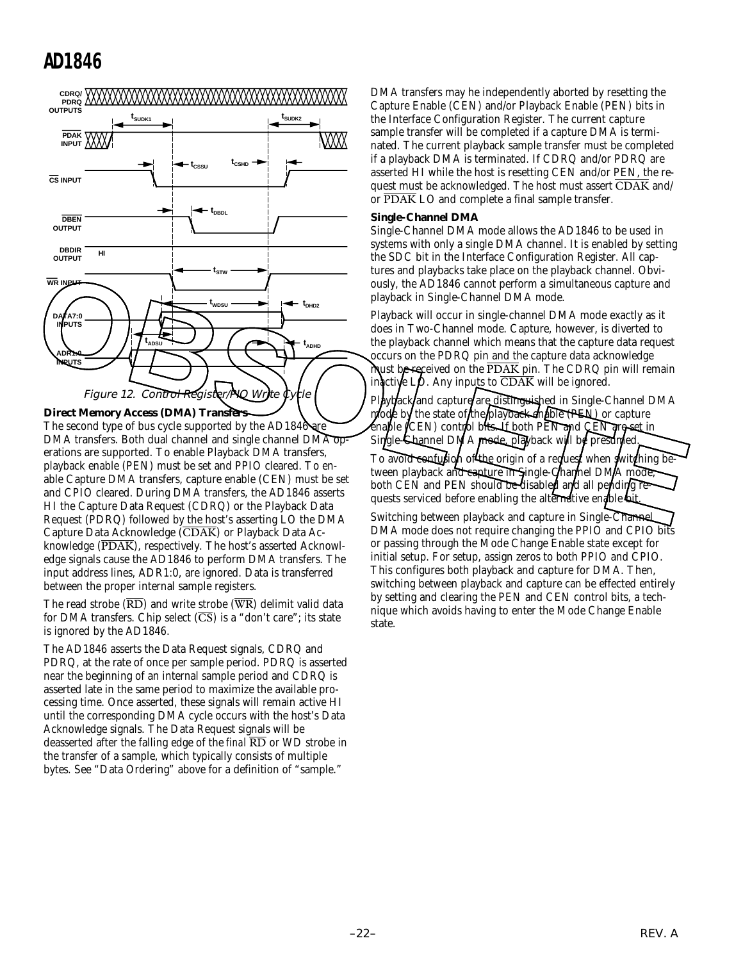

**Direct Memory Access (DMA) Transfers**

The second type of bus cycle supported by the AD1846 are DMA transfers. Both dual channel and single channel DMA operations are supported. To enable Playback DMA transfers, playback enable (PEN) must be set and PPIO cleared. To enable Capture DMA transfers, capture enable (CEN) must be set and CPIO cleared. During DMA transfers, the AD1846 asserts HI the Capture Data Request (CDRQ) or the Playback Data Request (PDRQ) followed by the host's asserting LO the DMA Capture Data Acknowledge (CDAK) or Playback Data Acknowledge (PDAK), respectively. The host's asserted Acknowledge signals cause the AD1846 to perform DMA transfers. The input address lines, ADR1:0, are ignored. Data is transferred between the proper internal sample registers.

The read strobe  $(\overline{RD})$  and write strobe  $(\overline{WR})$  delimit valid data for DMA transfers. Chip select  $(\overline{CS})$  is a "don't care"; its state is ignored by the AD1846.

The AD1846 asserts the Data Request signals, CDRQ and PDRQ, at the rate of once per sample period. PDRQ is asserted near the beginning of an internal sample period and CDRQ is asserted late in the same period to maximize the available processing time. Once asserted, these signals will remain active HI until the corresponding DMA cycle occurs with the host's Data Acknowledge signals. The Data Request signals will be deasserted after the falling edge of the *final* RD or WD strobe in the transfer of a sample, which typically consists of multiple bytes. See "Data Ordering" above for a definition of "sample."

DMA transfers may he independently aborted by resetting the Capture Enable (CEN) and/or Playback Enable (PEN) bits in the Interface Configuration Register. The current capture sample transfer will be completed if a capture DMA is terminated. The current playback sample transfer must be completed if a playback DMA is terminated. If CDRQ and/or PDRQ are asserted HI while the host is resetting CEN and/or PEN, the request must be acknowledged. The host must assert  $\overline{\text{CDAK}}$  and/ or PDAK LO and complete a final sample transfer.

#### **Single-Channel DMA**

Single-Channel DMA mode allows the AD1846 to be used in systems with only a single DMA channel. It is enabled by setting the SDC bit in the Interface Configuration Register. All captures and playbacks take place on the playback channel. Obviously, the AD1846 cannot perform a simultaneous capture and playback in Single-Channel DMA mode.

Playback will occur in single-channel DMA mode exactly as it does in Two-Channel mode. Capture, however, is diverted to the playback channel which means that the capture data request occurs on the PDRQ pin and the capture data acknowledge must be received on the  $\overline{PDAK}$  pin. The CDRQ pin will remain inactive  $L\phi$ . Any inputs to  $\overline{CDAK}$  will be ignored.

Playback and capture are distinguished in Single-Channel DMA mode by the state of the playback enable (PEN) or capture enable (CEN) control bits. If both PEN and CEN dresset in<br>Single-Shannel DMA mode, playback will be presumed. gle-Channel DMA mode, playback will be presumed. To avoid confusion of the origin of a reduest when switching between playback and capture in Single-Channel DMA mode, both CEN and PEN should be disabled and all pending requests serviced before enabling the alternative enable bit.

Switching between playback and capture in Single-Channel DMA mode does not require changing the PPIO and CPIO bits or passing through the Mode Change Enable state except for initial setup. For setup, assign zeros to both PPIO and CPIO. This configures both playback and capture for DMA. Then, switching between playback and capture can be effected entirely by setting and clearing the PEN and CEN control bits, a technique which avoids having to enter the Mode Change Enable state.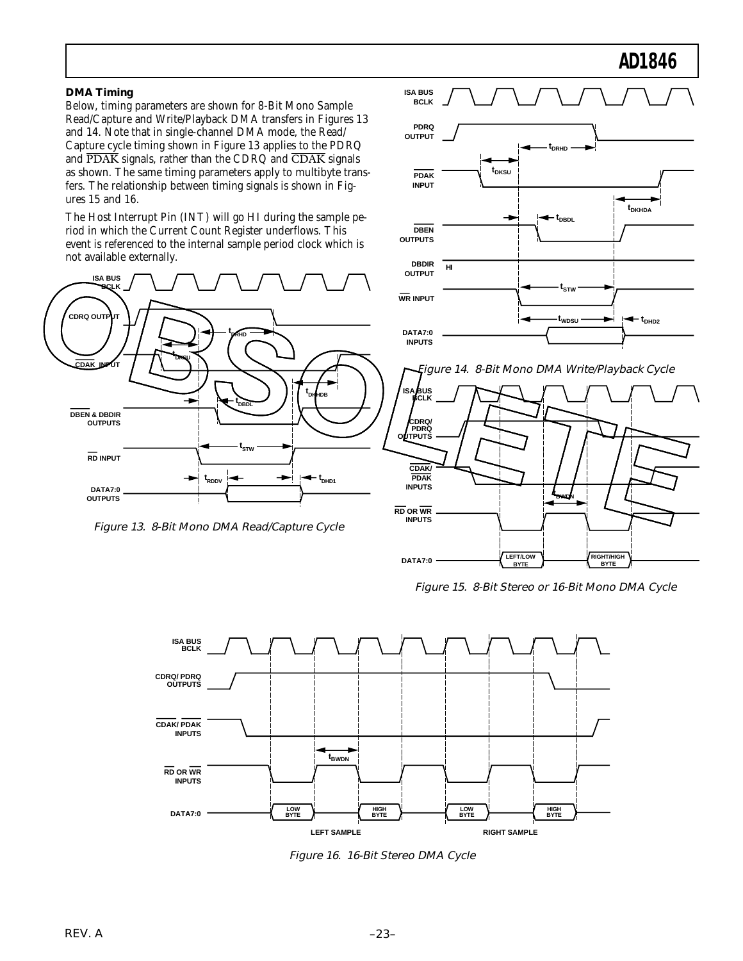#### **DMA Timing**

Below, timing parameters are shown for 8-Bit Mono Sample Read/Capture and Write/Playback DMA transfers in Figures 13 and 14. Note that in single-channel DMA mode, the Read/ Capture cycle timing shown in Figure 13 applies to the PDRQ and PDAK signals, rather than the CDRQ and CDAK signals as shown. The same timing parameters apply to multibyte transfers. The relationship between timing signals is shown in Figures 15 and 16.

The Host Interrupt Pin (INT) will go HI during the sample period in which the Current Count Register underflows. This event is referenced to the internal sample period clock which is not available externally.



Figure 13. 8-Bit Mono DMA Read/Capture Cycle





Figure 15. 8-Bit Stereo or 16-Bit Mono DMA Cycle



Figure 16. 16-Bit Stereo DMA Cycle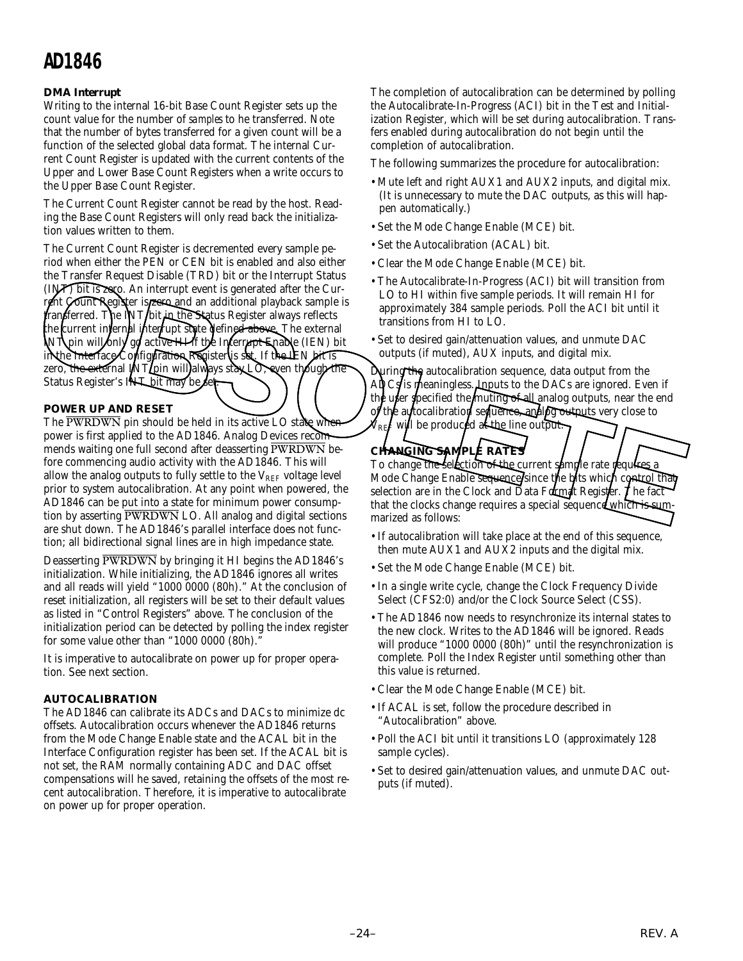#### **DMA Interrupt**

Writing to the internal 16-bit Base Count Register sets up the count value for the number of *samples* to he transferred. Note that the number of bytes transferred for a given count will be a function of the selected global data format. The internal Current Count Register is updated with the current contents of the Upper and Lower Base Count Registers when a write occurs to the Upper Base Count Register.

The Current Count Register cannot be read by the host. Reading the Base Count Registers will only read back the initialization values written to them.

The Current Count Register is decremented every sample period when either the PEN or CEN bit is enabled and also either the Transfer Request Disable (TRD) bit or the Interrupt Status (INT) bit is zero. An interrupt event is generated after the Current Count Register is **zero and an additional playback sample is** transferred. The INT bit in the Status Register always reflects the current internal interrupt state defined above. The external INT pin will only go active HI if the Interrupt Enable (IEN) bit in the Interface Configuration Register is set. If the IEN bit is zero, the external INT pin will always stay LO, even though the Status Register's INT bit may be set The Artices in Fourier Request Disable (TRD) bit is the internal term in the contract in the internal term in the term in the contract in the search of the search of the search of the search of the search of the search of

#### **POWER UP AND RESET**

The  $\overline{\text{PWRDWN}}$  pin should be held in its active LO state wh power is first applied to the AD1846. Analog Devices recommends waiting one full second after deasserting PWRDWN before commencing audio activity with the AD1846. This will allow the analog outputs to fully settle to the  $V_{REF}$  voltage level prior to system autocalibration. At any point when powered, the AD1846 can be put into a state for minimum power consumption by asserting PWRDWN LO. All analog and digital sections are shut down. The AD1846's parallel interface does not function; all bidirectional signal lines are in high impedance state.

Deasserting PWRDWN by bringing it HI begins the AD1846's initialization. While initializing, the AD1846 ignores all writes and all reads will yield "1000 0000 (80h)." At the conclusion of reset initialization, all registers will be set to their default values as listed in "Control Registers" above. The conclusion of the initialization period can be detected by polling the index register for some value other than " $1000 0000 (80h)$ .

It is imperative to autocalibrate on power up for proper operation. See next section.

#### **AUTOCALIBRATION**

The AD1846 can calibrate its ADCs and DACs to minimize dc offsets. Autocalibration occurs whenever the AD1846 returns from the Mode Change Enable state and the ACAL bit in the Interface Configuration register has been set. If the ACAL bit is not set, the RAM normally containing ADC and DAC offset compensations will he saved, retaining the offsets of the most recent autocalibration. Therefore, it is imperative to autocalibrate on power up for proper operation.

The completion of autocalibration can be determined by polling the Autocalibrate-In-Progress (ACI) bit in the Test and Initialization Register, which will be set during autocalibration. Transfers enabled during autocalibration do not begin until the completion of autocalibration.

The following summarizes the procedure for autocalibration:

- Mute left and right AUX1 and AUX2 inputs, and digital mix. (It is unnecessary to mute the DAC outputs, as this will happen automatically.)
- Set the Mode Change Enable (MCE) bit.
- Set the Autocalibration (ACAL) bit.
- Clear the Mode Change Enable (MCE) bit.
- The Autocalibrate-In-Progress (ACI) bit will transition from LO to HI within five sample periods. It will remain HI for approximately 384 sample periods. Poll the ACI bit until it transitions from HI to LO.
- Set to desired gain/attenuation values, and unmute DAC outputs (if muted), AUX inputs, and digital mix.

uring the autocalibration sequence, data output from the ADCs/is meaningless.  $J$  aputs to the DACs are ignored. Even if the user specified the muting of all analog outputs, near the end of the autocalibration sequence, analog outputs very close to will be produced at the line output.

### **CHANGING SAMPLE RATES**

To change the selection of the current sample rate requires Mode Change Enable sequence since the bits which control that selection are in the Clock and Data Format Register. The fact that the clocks change requires a special sequence which is summarized as follows:

- If autocalibration will take place at the end of this sequence, then mute AUX1 and AUX2 inputs and the digital mix.
- Set the Mode Change Enable (MCE) bit.
- In a single write cycle, change the Clock Frequency Divide Select (CFS2:0) and/or the Clock Source Select (CSS).
- The AD1846 now needs to resynchronize its internal states to the new clock. Writes to the AD1846 will be ignored. Reads will produce "1000 0000 (80h)" until the resynchronization is complete. Poll the Index Register until something other than this value is returned.
- Clear the Mode Change Enable (MCE) bit.
- If ACAL is set, follow the procedure described in "Autocalibration" above.
- Poll the ACI bit until it transitions LO (approximately 128 sample cycles).
- Set to desired gain/attenuation values, and unmute DAC outputs (if muted).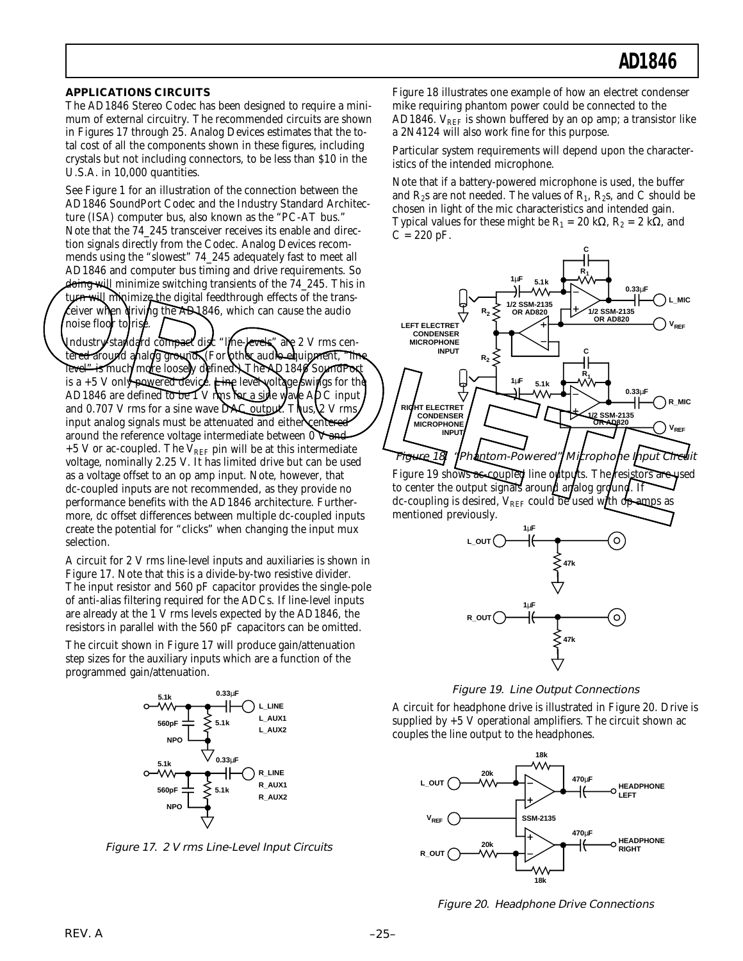#### **APPLICATIONS CIRCUITS**

The AD1846 Stereo Codec has been designed to require a minimum of external circuitry. The recommended circuits are shown in Figures 17 through 25. Analog Devices estimates that the total cost of all the components shown in these figures, including crystals but not including connectors, to be less than \$10 in the U.S.A. in 10,000 quantities.

See Figure 1 for an illustration of the connection between the AD1846 SoundPort Codec and the Industry Standard Architecture (ISA) computer bus, also known as the "PC-AT bus." Note that the 74\_245 transceiver receives its enable and direction signals directly from the Codec. Analog Devices recommends using the "slowest" 74\_245 adequately fast to meet all AD1846 and computer bus timing and drive requirements. So doing will minimize switching transients of the 74\_245. This in turn will minimize the digital feedthrough effects of the transeiver when driving the AD1846, which can cause the audio noise floor to rise.

Industry-standard compact disc "line-levels" are 2 V rms centered around analog ground. (For wther audio equipment, "line level" is much/more loosely defined. The AQ1840 SoundPort is a  $+5$  V only powered device. Line level voltage swings for the AD1846 are defined to be 1 V rms for a sine wave ADC input and 0.707 V rms for a sine wave DAC output. Thus,  $2 \text{ V}$  rms input analog signals must be attenuated and either centered around the reference voltage intermediate between  $0$  V-and +5 V or ac-coupled. The  $\bar{V}_{REF}$  pin will be at this intermediate voltage, nominally 2.25 V. It has limited drive but can be used as a voltage offset to an op amp input. Note, however, that dc-coupled inputs are not recommended, as they provide no performance benefits with the AD1846 architecture. Furthermore, dc offset differences between multiple dc-coupled inputs create the potential for "clicks" when changing the input mux selection. The temperature of the coupled in the Alberta Content of the Coupled The Content of the Coupled The Coupled The Content of the Coupled The Coupled The Coupled The Coupled The Coupled The Coupled The Coupled The Coupled The

A circuit for 2 V rms line-level inputs and auxiliaries is shown in Figure 17. Note that this is a divide-by-two resistive divider. The input resistor and 560 pF capacitor provides the single-pole of anti-alias filtering required for the ADCs. If line-level inputs are already at the 1 V rms levels expected by the AD1846, the resistors in parallel with the 560 pF capacitors can be omitted.

The circuit shown in Figure 17 will produce gain/attenuation step sizes for the auxiliary inputs which are a function of the programmed gain/attenuation.



Figure 17. 2 V rms Line-Level Input Circuits

Figure 18 illustrates one example of how an electret condenser mike requiring phantom power could be connected to the AD1846.  $V_{REF}$  is shown buffered by an op amp; a transistor like a 2N4124 will also work fine for this purpose.

Particular system requirements will depend upon the characteristics of the intended microphone.

Note that if a battery-powered microphone is used, the buffer and  $R_2$ s are not needed. The values of  $R_1$ ,  $R_2$ s, and C should be chosen in light of the mic characteristics and intended gain. Typical values for these might be  $R_1 = 20 \text{ k}\Omega$ ,  $R_2 = 2 \text{ k}\Omega$ , and  $C = 220 pF$ .



Figure 19 shows ac-coupled line outputs. The resistors are used to center the output signals around analog ground. If dc-coupling is desired,  $V_{REF}$  could be used with op amps as mentioned previously.



Figure 19. Line Output Connections

A circuit for headphone drive is illustrated in Figure 20. Drive is supplied by  $+5$  V operational amplifiers. The circuit shown ac couples the line output to the headphones.



Figure 20. Headphone Drive Connections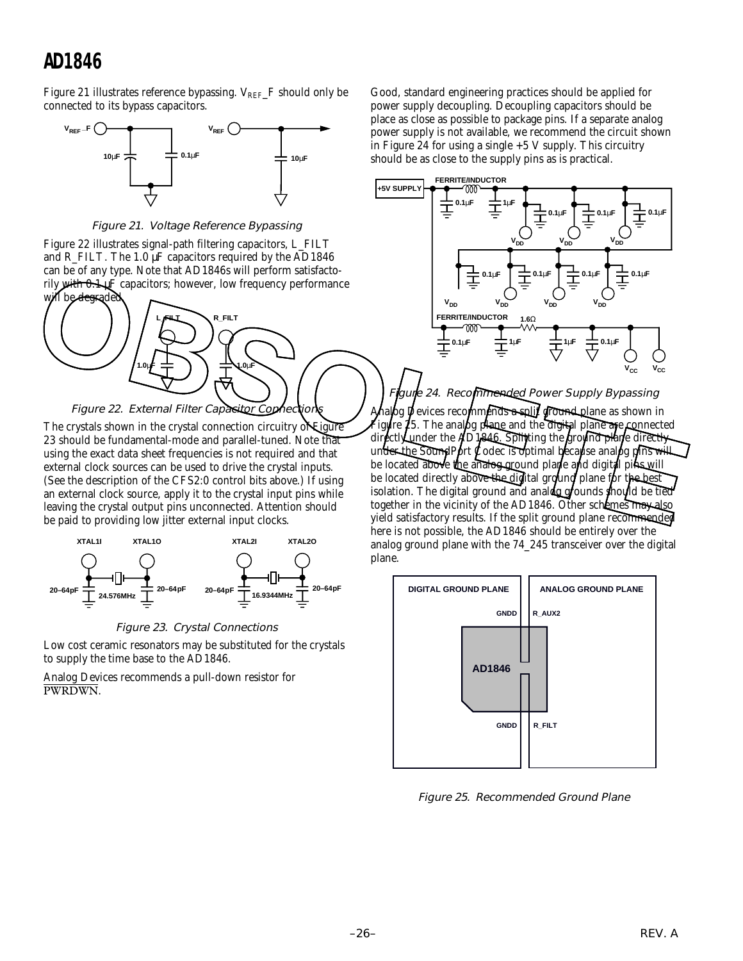Figure 21 illustrates reference bypassing.  $V_{REF}$  F should only be connected to its bypass capacitors.



Figure 21. Voltage Reference Bypassing

Figure 22 illustrates signal-path filtering capacitors, L\_FILT and R\_FILT. The 1.0 µF capacitors required by the AD1846 can be of any type. Note that AD1846s will perform satisfactorily with 0.1 µF capacitors; however, low frequency performance



The crystals shown in the crystal connection circuitry of Figure 23 should be fundamental-mode and parallel-tuned. Note that using the exact data sheet frequencies is not required and that external clock sources can be used to drive the crystal inputs. (See the description of the CFS2:0 control bits above.) If using an external clock source, apply it to the crystal input pins while leaving the crystal output pins unconnected. Attention should be paid to providing low jitter external input clocks.





Low cost ceramic resonators may be substituted for the crystals to supply the time base to the AD1846.

Analog Devices recommends a pull-down resistor for PWRDWN.

Good, standard engineering practices should be applied for power supply decoupling. Decoupling capacitors should be place as close as possible to package pins. If a separate analog power supply is not available, we recommend the circuit shown in Figure 24 for using a single  $+5$  V supply. This circuitry should be as close to the supply pins as is practical.



Figure 24. Recommended Power Supply Bypassing bg Devices recommends a split ground plane as shown in igure 25. The analog plane and the digital plane are connected directly under the AD1846. Splifting the ground plane directly under the SoundPort Codec is optimal because analog pins will be located above the analog ground plane and digital pins will be located directly above the digital ground plane for the best isolation. The digital ground and analog grounds should be tied together in the vicinity of the AD1846. Other schemes may also yield satisfactory results. If the split ground plane recommended here is not possible, the AD1846 should be entirely over the analog ground plane with the 74\_245 transceiver over the digital plane. Figure 22. External Filter Capacitors however, low frequency performance<br>
While designated and the capacitors however, low frequency performance<br>
While designated and particular terms of the capacitors in the crystal sche



Figure 25. Recommended Ground Plane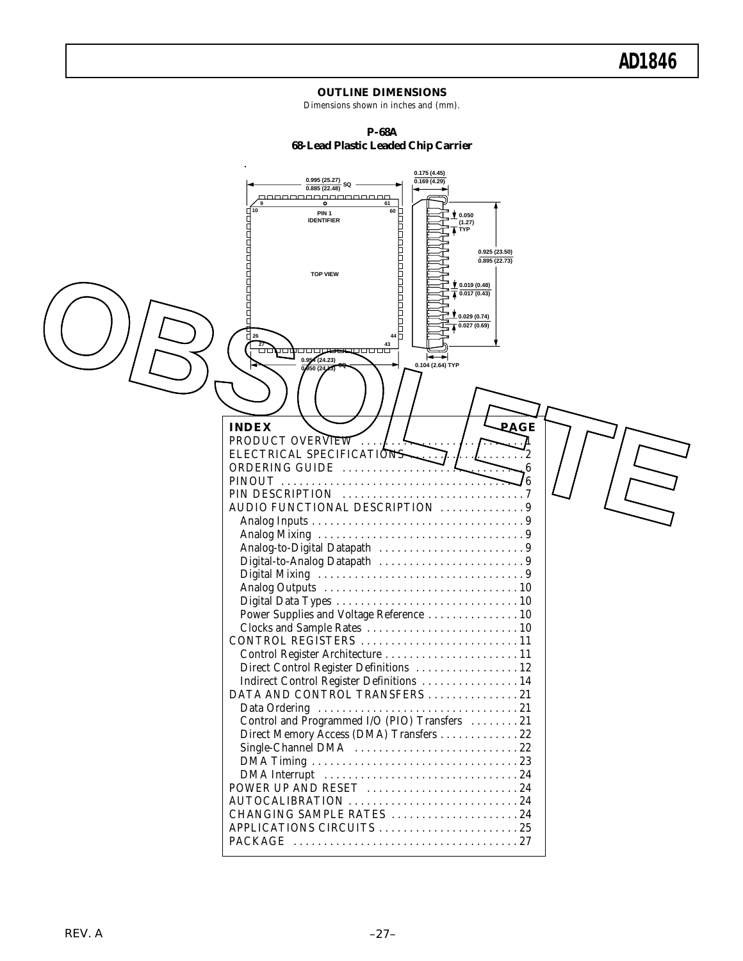#### **OUTLINE DIMENSIONS**

Dimensions shown in inches and (mm).